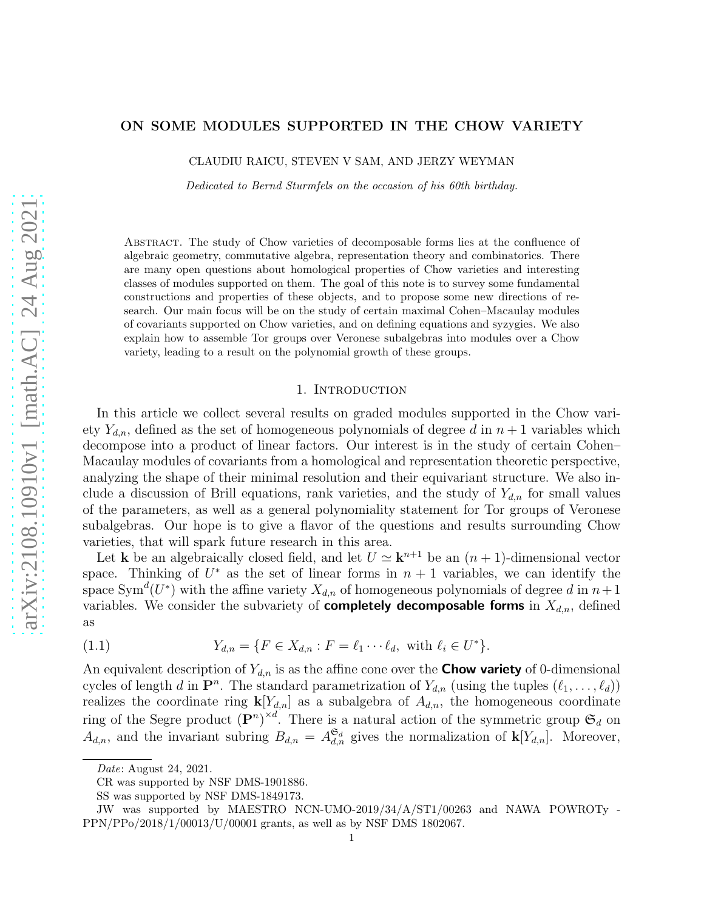# ON SOME MODULES SUPPORTED IN THE CHOW VARIETY

CLAUDIU RAICU, STEVEN V SAM, AND JERZY WEYMAN

Dedicated to Bernd Sturmfels on the occasion of his 60th birthday.

Abstract. The study of Chow varieties of decomposable forms lies at the confluence of algebraic geometry, commutative algebra, representation theory and combinatorics. There are many open questions about homological properties of Chow varieties and interesting classes of modules supported on them. The goal of this note is to survey some fundamental constructions and properties of these objects, and to propose some new directions of research. Our main focus will be on the study of certain maximal Cohen–Macaulay modules of covariants supported on Chow varieties, and on defining equations and syzygies. We also explain how to assemble Tor groups over Veronese subalgebras into modules over a Chow variety, leading to a result on the polynomial growth of these groups.

#### 1. INTRODUCTION

In this article we collect several results on graded modules supported in the Chow variety  $Y_{d,n}$ , defined as the set of homogeneous polynomials of degree d in  $n+1$  variables which decompose into a product of linear factors. Our interest is in the study of certain Cohen– Macaulay modules of covariants from a homological and representation theoretic perspective, analyzing the shape of their minimal resolution and their equivariant structure. We also include a discussion of Brill equations, rank varieties, and the study of  $Y_{d,n}$  for small values of the parameters, as well as a general polynomiality statement for Tor groups of Veronese subalgebras. Our hope is to give a flavor of the questions and results surrounding Chow varieties, that will spark future research in this area.

Let **k** be an algebraically closed field, and let  $U \simeq \mathbf{k}^{n+1}$  be an  $(n+1)$ -dimensional vector space. Thinking of  $U^*$  as the set of linear forms in  $n + 1$  variables, we can identify the space  $\text{Sym}^d(U^*)$  with the affine variety  $X_{d,n}$  of homogeneous polynomials of degree d in  $n+1$ variables. We consider the subvariety of **completely decomposable forms** in  $X_{d,n}$ , defined as

(1.1) 
$$
Y_{d,n} = \{ F \in X_{d,n} : F = \ell_1 \cdots \ell_d, \text{ with } \ell_i \in U^* \}.
$$

An equivalent description of  $Y_{d,n}$  is as the affine cone over the **Chow variety** of 0-dimensional cycles of length d in  $\mathbf{P}^n$ . The standard parametrization of  $Y_{d,n}$  (using the tuples  $(\ell_1, \ldots, \ell_d)$ ) realizes the coordinate ring  $\mathbf{k}[Y_{d,n}]$  as a subalgebra of  $A_{d,n}$ , the homogeneous coordinate ring of the Segre product  $(P^n)^{\times d}$ . There is a natural action of the symmetric group  $\mathfrak{S}_d$  on  $A_{d,n}$ , and the invariant subring  $B_{d,n} = A_{d,n}^{\mathfrak{S}_d}$  gives the normalization of  $\mathbf{k}[Y_{d,n}]$ . Moreover,

Date: August 24, 2021.

CR was supported by NSF DMS-1901886.

SS was supported by NSF DMS-1849173.

JW was supported by MAESTRO NCN-UMO-2019/34/A/ST1/00263 and NAWA POWROTy - PPN/PPo/2018/1/00013/U/00001 grants, as well as by NSF DMS 1802067.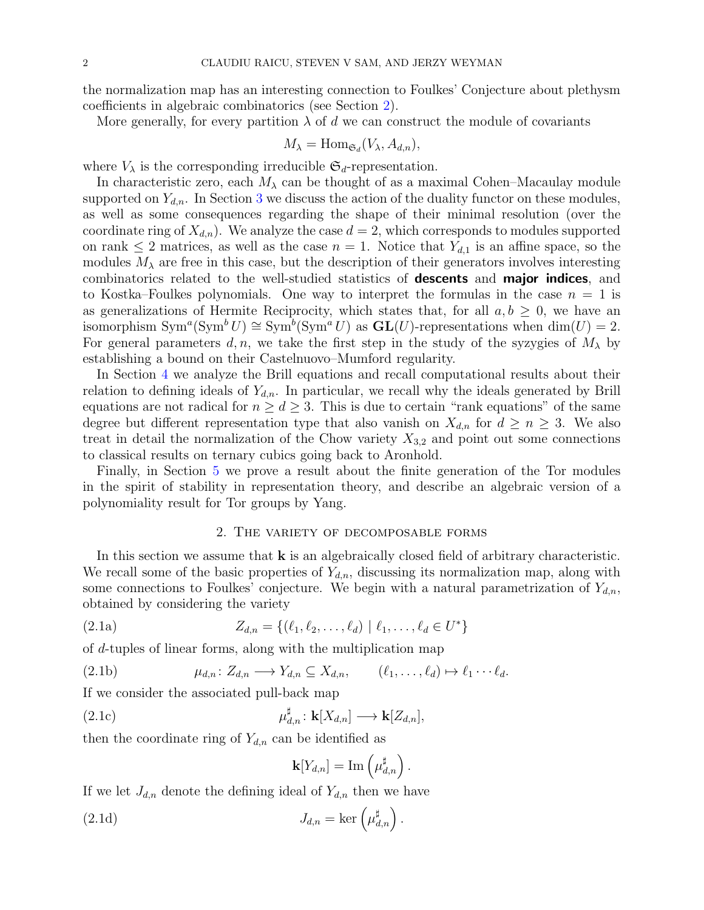the normalization map has an interesting connection to Foulkes' Conjecture about plethysm coefficients in algebraic combinatorics (see Section [2\)](#page-1-0).

More generally, for every partition  $\lambda$  of d we can construct the module of covariants

$$
M_{\lambda} = \text{Hom}_{\mathfrak{S}_d}(V_{\lambda}, A_{d,n}),
$$

where  $V_{\lambda}$  is the corresponding irreducible  $\mathfrak{S}_d$ -representation.

In characteristic zero, each  $M_{\lambda}$  can be thought of as a maximal Cohen–Macaulay module supported on  $Y_{d,n}$ . In Section [3](#page-6-0) we discuss the action of the duality functor on these modules, as well as some consequences regarding the shape of their minimal resolution (over the coordinate ring of  $X_{d,n}$ ). We analyze the case  $d = 2$ , which corresponds to modules supported on rank  $\leq 2$  matrices, as well as the case  $n = 1$ . Notice that  $Y_{d,1}$  is an affine space, so the modules  $M_{\lambda}$  are free in this case, but the description of their generators involves interesting combinatorics related to the well-studied statistics of descents and major indices, and to Kostka–Foulkes polynomials. One way to interpret the formulas in the case  $n = 1$  is as generalizations of Hermite Reciprocity, which states that, for all  $a, b \geq 0$ , we have an isomorphism  $Sym^a(Sym^b U) \cong Sym^b(Sym^a U)$  as  $GL(U)$ -representations when  $dim(U) = 2$ . For general parameters d, n, we take the first step in the study of the syzygies of  $M_{\lambda}$  by establishing a bound on their Castelnuovo–Mumford regularity.

In Section [4](#page-12-0) we analyze the Brill equations and recall computational results about their relation to defining ideals of  $Y_{d,n}$ . In particular, we recall why the ideals generated by Brill equations are not radical for  $n \geq d \geq 3$ . This is due to certain "rank equations" of the same degree but different representation type that also vanish on  $X_{d,n}$  for  $d \geq n \geq 3$ . We also treat in detail the normalization of the Chow variety  $X_{3,2}$  and point out some connections to classical results on ternary cubics going back to Aronhold.

Finally, in Section [5](#page-16-0) we prove a result about the finite generation of the Tor modules in the spirit of stability in representation theory, and describe an algebraic version of a polynomiality result for Tor groups by Yang.

## <span id="page-1-1"></span>2. The variety of decomposable forms

<span id="page-1-0"></span>In this section we assume that  $k$  is an algebraically closed field of arbitrary characteristic. We recall some of the basic properties of  $Y_{d,n}$ , discussing its normalization map, along with some connections to Foulkes' conjecture. We begin with a natural parametrization of  $Y_{d,n}$ , obtained by considering the variety

(2.1a) 
$$
Z_{d,n} = \{ (\ell_1, \ell_2, \dots, \ell_d) \mid \ell_1, \dots, \ell_d \in U^* \}
$$

of d-tuples of linear forms, along with the multiplication map

$$
(2.1b) \t\t \mu_{d,n}: Z_{d,n} \longrightarrow Y_{d,n} \subseteq X_{d,n}, \t (\ell_1, \ldots, \ell_d) \mapsto \ell_1 \cdots \ell_d.
$$

If we consider the associated pull-back map

(2.1c) 
$$
\mu_{d,n}^{\sharp}: \mathbf{k}[X_{d,n}] \longrightarrow \mathbf{k}[Z_{d,n}],
$$

then the coordinate ring of  $Y_{d,n}$  can be identified as

<span id="page-1-2"></span>
$$
\mathbf{k}[Y_{d,n}] = \mathrm{Im}\left(\mu_{d,n}^{\sharp}\right).
$$

If we let  $J_{d,n}$  denote the defining ideal of  $Y_{d,n}$  then we have

(2.1d) 
$$
J_{d,n} = \ker \left(\mu_{d,n}^{\sharp}\right).
$$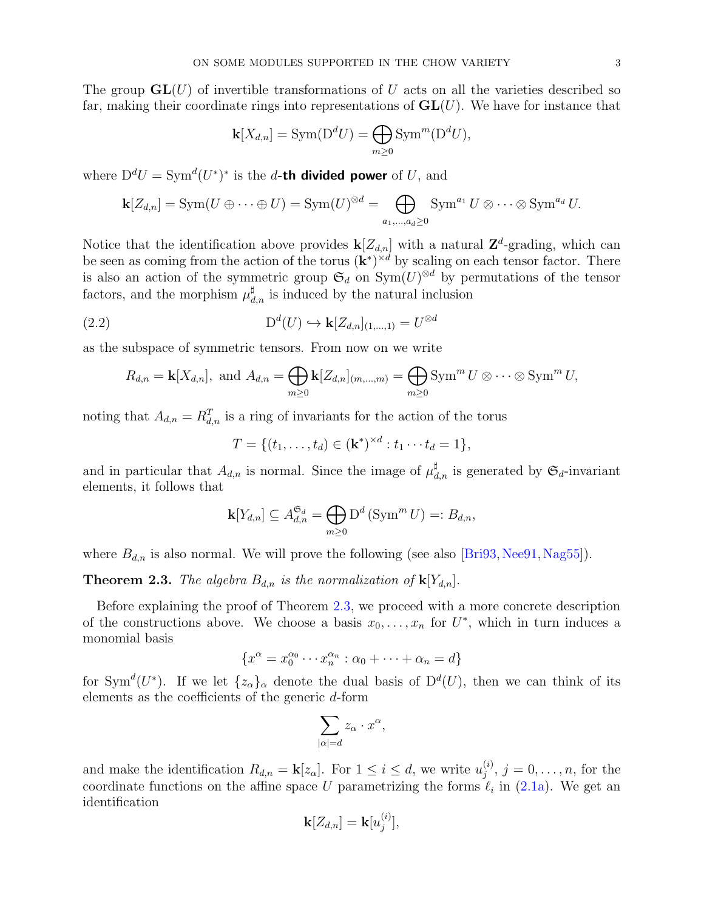The group  $GL(U)$  of invertible transformations of U acts on all the varieties described so far, making their coordinate rings into representations of  $GL(U)$ . We have for instance that

$$
\mathbf{k}[X_{d,n}] = \text{Sym}(\mathbf{D}^d U) = \bigoplus_{m \geq 0} \text{Sym}^m(\mathbf{D}^d U),
$$

where  $D^dU = \text{Sym}^d(U^*)^*$  is the d-th divided power of U, and

$$
\mathbf{k}[Z_{d,n}] = \text{Sym}(U \oplus \cdots \oplus U) = \text{Sym}(U)^{\otimes d} = \bigoplus_{a_1,\ldots,a_d \geq 0} \text{Sym}^{a_1} U \otimes \cdots \otimes \text{Sym}^{a_d} U.
$$

Notice that the identification above provides  $\mathbf{k}[Z_{d,n}]$  with a natural  $\mathbf{Z}^d$ -grading, which can be seen as coming from the action of the torus  $(\mathbf{k}^*)^{\times d}$  by scaling on each tensor factor. There is also an action of the symmetric group  $\mathfrak{S}_d$  on  $\text{Sym}(U)^{\otimes d}$  by permutations of the tensor factors, and the morphism  $\mu_{d,n}^{\sharp}$  is induced by the natural inclusion

(2.2) 
$$
\mathcal{D}^d(U) \hookrightarrow \mathbf{k}[Z_{d,n}]_{(1,\ldots,1)} = U^{\otimes d}
$$

as the subspace of symmetric tensors. From now on we write

$$
R_{d,n} = \mathbf{k}[X_{d,n}], \text{ and } A_{d,n} = \bigoplus_{m \geq 0} \mathbf{k}[Z_{d,n}]_{(m,\ldots,m)} = \bigoplus_{m \geq 0} \text{Sym}^m U \otimes \cdots \otimes \text{Sym}^m U,
$$

noting that  $A_{d,n} = R_{d,n}^T$  is a ring of invariants for the action of the torus

$$
T = \{(t_1, \ldots, t_d) \in (\mathbf{k}^*)^{\times d} : t_1 \cdots t_d = 1\},\
$$

and in particular that  $A_{d,n}$  is normal. Since the image of  $\mu_{d,n}^{\sharp}$  is generated by  $\mathfrak{S}_d$ -invariant elements, it follows that

$$
\mathbf{k}[Y_{d,n}] \subseteq A_{d,n}^{\mathfrak{S}_d} = \bigoplus_{m \geq 0} \mathrm{D}^d \left( \mathrm{Sym}^m U \right) =: B_{d,n},
$$

where  $B_{d,n}$  is also normal. We will prove the following (see also [\[Bri93,](#page-18-0) [Nee91,](#page-19-0) [Nag55\]](#page-19-1)).

<span id="page-2-0"></span>**Theorem 2.3.** The algebra  $B_{d,n}$  is the normalization of  $\mathbf{k}[Y_{d,n}]$ .

Before explaining the proof of Theorem [2.3,](#page-2-0) we proceed with a more concrete description of the constructions above. We choose a basis  $x_0, \ldots, x_n$  for  $U^*$ , which in turn induces a monomial basis

$$
\{x^{\alpha} = x_0^{\alpha_0} \cdots x_n^{\alpha_n} : \alpha_0 + \cdots + \alpha_n = d\}
$$

for Sym<sup> $d(U^*)$ </sup>. If we let  $\{z_{\alpha}\}_{\alpha}$  denote the dual basis of  $D^d(U)$ , then we can think of its elements as the coefficients of the generic d-form

$$
\sum_{|\alpha|=d} z_\alpha \cdot x^\alpha,
$$

and make the identification  $R_{d,n} = \mathbf{k}[z_\alpha]$ . For  $1 \leq i \leq d$ , we write  $u_j^{(i)}$  $j^{(i)}$ ,  $j = 0, ..., n$ , for the coordinate functions on the affine space U parametrizing the forms  $\ell_i$  in [\(2.1a\)](#page-1-1). We get an identification

$$
\mathbf{k}[Z_{d,n}] = \mathbf{k}[u_j^{(i)}],
$$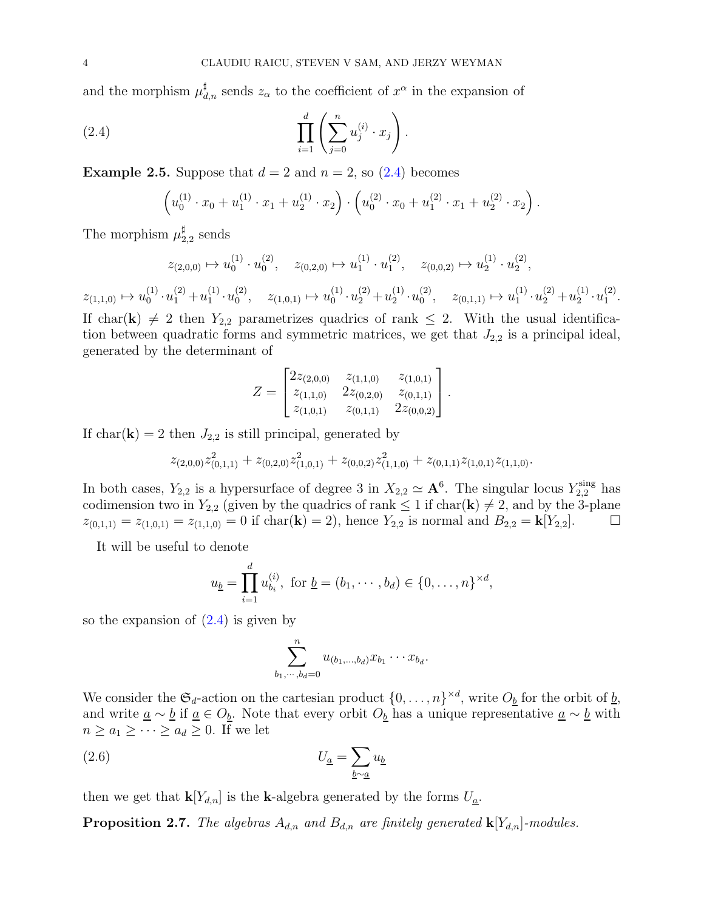and the morphism  $\mu_{d,n}^{\sharp}$  sends  $z_{\alpha}$  to the coefficient of  $x^{\alpha}$  in the expansion of

(2.4) 
$$
\prod_{i=1}^{d} \left( \sum_{j=0}^{n} u_j^{(i)} \cdot x_j \right).
$$

<span id="page-3-3"></span>**Example 2.5.** Suppose that  $d = 2$  and  $n = 2$ , so  $(2.4)$  becomes

<span id="page-3-0"></span>
$$
\left(u_0^{(1)} \cdot x_0 + u_1^{(1)} \cdot x_1 + u_2^{(1)} \cdot x_2\right) \cdot \left(u_0^{(2)} \cdot x_0 + u_1^{(2)} \cdot x_1 + u_2^{(2)} \cdot x_2\right).
$$

The morphism  $\mu_2^{\sharp}$  $_{2,2}^{\sharp}$  sends

$$
z_{(2,0,0)}\mapsto u^{(1)}_0\cdot u^{(2)}_0,\quad z_{(0,2,0)}\mapsto u^{(1)}_1\cdot u^{(2)}_1,\quad z_{(0,0,2)}\mapsto u^{(1)}_2\cdot u^{(2)}_2,
$$

 $z_{(1,1,0)} \mapsto u_0^{(1)}$  $u_0^{(1)} \cdot u_1^{(2)} + u_1^{(1)}$  $\binom{11}{1} \cdot u_0^{(2)}$  $\begin{array}{cc} (2) \\ 0 \end{array}, \quad z_{(1,0,1)} \mapsto u_0^{(1)}$  $u_0^{(1)} \cdot u_2^{(2)} + u_2^{(1)}$  $_2^{(1)}\cdot u_0^{(2)}$  $z_{(0,1,1)} \mapsto u_1^{(1)}$  $u_1^{(1)} \cdot u_2^{(2)} + u_2^{(1)}$  $\stackrel{(1)}{2}\cdot u_1^{(2)}$  $\frac{(2)}{1}$ .

If char(k)  $\neq$  2 then  $Y_{2,2}$  parametrizes quadrics of rank  $\leq$  2. With the usual identification between quadratic forms and symmetric matrices, we get that  $J_{2,2}$  is a principal ideal, generated by the determinant of

$$
Z = \begin{bmatrix} 2z_{(2,0,0)} & z_{(1,1,0)} & z_{(1,0,1)} \\ z_{(1,1,0)} & 2z_{(0,2,0)} & z_{(0,1,1)} \\ z_{(1,0,1)} & z_{(0,1,1)} & 2z_{(0,0,2)} \end{bmatrix}.
$$

If char( $\mathbf{k}$ ) = 2 then  $J_{2,2}$  is still principal, generated by

$$
z_{(2,0,0)} z_{(0,1,1)}^2 + z_{(0,2,0)} z_{(1,0,1)}^2 + z_{(0,0,2)} z_{(1,1,0)}^2 + z_{(0,1,1)} z_{(1,0,1)} z_{(1,1,0)}.
$$

In both cases,  $Y_{2,2}$  is a hypersurface of degree 3 in  $X_{2,2} \simeq \mathbf{A}^6$ . The singular locus  $Y_{2,2}^{\text{sing}}$  has codimension two in  $Y_{2,2}$  (given by the quadrics of rank  $\leq 1$  if char( $\mathbf{k}$ )  $\neq 2$ , and by the 3-plane  $z_{(0,1,1)} = z_{(1,0,1)} = z_{(1,1,0)} = 0$  if char(**k**) = 2), hence  $Y_{2,2}$  is normal and  $B_{2,2} = \mathbf{k}[Y_{2,2}]$ .

It will be useful to denote

$$
u_{\underline{b}} = \prod_{i=1}^{d} u_{b_i}^{(i)}, \text{ for } \underline{b} = (b_1, \cdots, b_d) \in \{0, \ldots, n\}^{\times d},
$$

so the expansion of  $(2.4)$  is given by

<span id="page-3-1"></span>
$$
\sum_{b_1,\dots,b_d=0}^n u_{(b_1,\dots,b_d)} x_{b_1} \cdots x_{b_d}.
$$

We consider the  $\mathfrak{S}_d$ -action on the cartesian product  $\{0,\ldots,n\}^{\times d}$ , write  $O_{\underline{b}}$  for the orbit of  $\underline{b}$ , and write  $\underline{a} \sim \underline{b}$  if  $\underline{a} \in O_{\underline{b}}$ . Note that every orbit  $O_{\underline{b}}$  has a unique representative  $\underline{a} \sim \underline{b}$  with  $n \geq a_1 \geq \cdots \geq a_d \geq 0$ . If we let

(2.6) 
$$
U_{\underline{a}} = \sum_{\underline{b}\sim \underline{a}} u_{\underline{b}}
$$

then we get that  $\mathbf{k}[Y_{d,n}]$  is the k-algebra generated by the forms  $U_{\underline{a}}$ .

<span id="page-3-2"></span>**Proposition 2.7.** The algebras  $A_{d,n}$  and  $B_{d,n}$  are finitely generated  $\mathbf{k}[Y_{d,n}]$ -modules.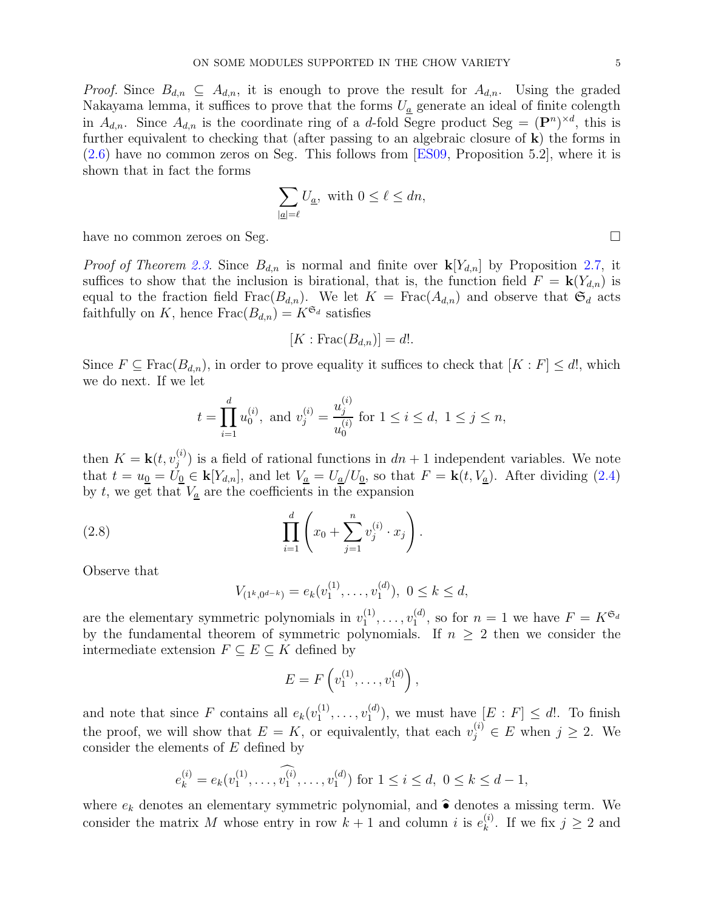*Proof.* Since  $B_{d,n} \subseteq A_{d,n}$ , it is enough to prove the result for  $A_{d,n}$ . Using the graded Nakayama lemma, it suffices to prove that the forms  $U_a$  generate an ideal of finite colength in  $A_{d,n}$ . Since  $A_{d,n}$  is the coordinate ring of a d-fold Segre product Seg =  $(\mathbf{P}^n)^{\times d}$ , this is further equivalent to checking that (after passing to an algebraic closure of k) the forms in [\(2.6\)](#page-3-1) have no common zeros on Seg. This follows from [\[ES09,](#page-18-1) Proposition 5.2], where it is shown that in fact the forms

$$
\sum_{|\underline{a}|=\ell} U_{\underline{a}}, \text{ with } 0\leq \ell \leq dn,
$$

have no common zeroes on Seg.

*Proof of Theorem [2.3.](#page-2-0)* Since  $B_{d,n}$  is normal and finite over  $\mathbf{k}[Y_{d,n}]$  by Proposition [2.7,](#page-3-2) it suffices to show that the inclusion is birational, that is, the function field  $F = \mathbf{k}(Y_{d,n})$  is equal to the fraction field Frac( $B_{d,n}$ ). We let  $K = \text{Frac}(A_{d,n})$  and observe that  $\mathfrak{S}_d$  acts faithfully on K, hence  $Frac(B_{d,n}) = K^{\mathfrak{S}_d}$  satisfies

$$
[K: \operatorname{Frac}(B_{d,n})] = d!.
$$

Since  $F \subseteq \text{Frac}(B_{d,n})$ , in order to prove equality it suffices to check that  $[K : F] \leq d!$ , which we do next. If we let

$$
t = \prod_{i=1}^{d} u_0^{(i)}
$$
, and  $v_j^{(i)} = \frac{u_j^{(i)}}{u_0^{(i)}}$  for  $1 \le i \le d$ ,  $1 \le j \le n$ ,

then  $K = \mathbf{k}(t, v_j^{(i)})$  is a field of rational functions in  $dn + 1$  independent variables. We note that  $t = u_0 = U_0 \in \mathbf{k}[Y_{d,n}]$ , and let  $V_a = U_a/U_0$ , so that  $F = \mathbf{k}(t, V_a)$ . After dividing [\(2.4\)](#page-3-0) by  $t$ , we get that  $V_a$  are the coefficients in the expansion

(2.8) 
$$
\prod_{i=1}^{d} \left( x_0 + \sum_{j=1}^{n} v_j^{(i)} \cdot x_j \right).
$$

Observe that

<span id="page-4-0"></span>
$$
V_{(1^k,0^{d-k})}=e_k(v_1^{(1)},\ldots,v_1^{(d)}),\ 0\leq k\leq d,
$$

are the elementary symmetric polynomials in  $v_1^{(1)}$  $\binom{1}{1}, \ldots, \binom{U^{(d)}}{1}$  $_1^{(d)}$ , so for  $n=1$  we have  $F=K^{\mathfrak{S}_d}$ by the fundamental theorem of symmetric polynomials. If  $n \geq 2$  then we consider the intermediate extension  $F \subseteq E \subseteq K$  defined by

$$
E = F\left(v_1^{(1)}, \ldots, v_1^{(d)}\right),
$$

and note that since F contains all  $e_k(v_1^{(1)})$  $\binom{1}{1}, \ldots, \binom{U^{(d)}}{1}$  $\mathcal{L}^{(a)}_1$ , we must have  $[E : F] \leq d!$ . To finish the proof, we will show that  $E = K$ , or equivalently, that each  $v_j^{(i)} \in E$  when  $j \ge 2$ . We consider the elements of E defined by

$$
e_k^{(i)} = e_k(v_1^{(1)}, \ldots, \widehat{v_1^{(i)}}, \ldots, v_1^{(d)})
$$
 for  $1 \le i \le d, 0 \le k \le d-1$ ,

where  $e_k$  denotes an elementary symmetric polynomial, and  $\hat{\bullet}$  denotes a missing term. We consider the matrix M whose entry in row  $k+1$  and column i is  $e_k^{(i)}$  $\mathbf{k}^{(i)}$ . If we fix  $j \geq 2$  and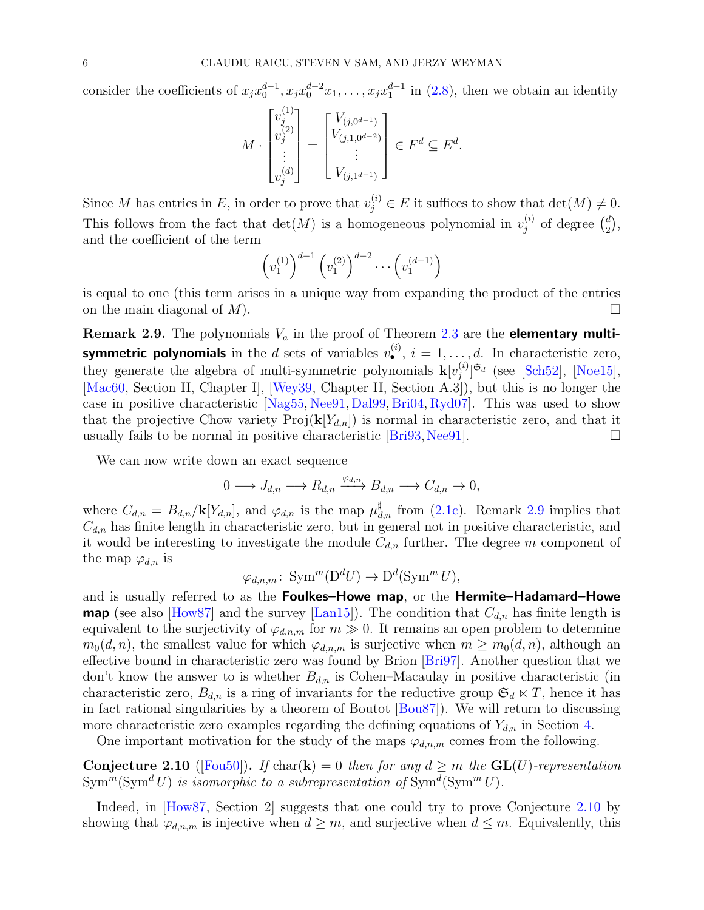consider the coefficients of  $x_j x_0^{d-1}, x_j x_0^{d-2} x_1, \ldots, x_j x_1^{d-1}$  in [\(2.8\)](#page-4-0), then we obtain an identity

$$
M \cdot \begin{bmatrix} v_j^{(1)} \\ v_j^{(2)} \\ \vdots \\ v_j^{(d)} \end{bmatrix} = \begin{bmatrix} V_{(j,0^{d-1})} \\ V_{(j,1,0^{d-2})} \\ \vdots \\ V_{(j,1^{d-1})} \end{bmatrix} \in F^d \subseteq E^d.
$$

Since M has entries in E, in order to prove that  $v_j^{(i)} \in E$  it suffices to show that  $\det(M) \neq 0$ . This follows from the fact that  $\det(M)$  is a homogeneous polynomial in  $v_i^{(i)}$  $j^{(i)}$  of degree  $\binom{d}{2}$  $\binom{d}{2}$ and the coefficient of the term

$$
\left(v_1^{(1)}\right)^{d-1} \left(v_1^{(2)}\right)^{d-2} \cdots \left(v_1^{(d-1)}\right)
$$

is equal to one (this term arises in a unique way from expanding the product of the entries on the main diagonal of  $M$ ).

<span id="page-5-0"></span>**Remark 2.9.** The polynomials  $V_a$  in the proof of Theorem [2.3](#page-2-0) are the **elementary multisymmetric polynomials** in the d sets of variables  $v^{(i)}_0$ ,  $i = 1, ..., d$ . In characteristic zero, they generate the algebra of multi-symmetric polynomials  $\mathbf{k}[v_i^{(i)}]$  $\binom{(i)}{j}$ <sup>G</sup>d (see [\[Sch52\]](#page-19-2), [\[Noe15\]](#page-19-3), [\[Mac60,](#page-19-4) Section II, Chapter I], [\[Wey39,](#page-19-5) Chapter II, Section A.3]), but this is no longer the case in positive characteristic  $[Nag55, Nee91, Dal99, Bri04, Ryd07]$  $[Nag55, Nee91, Dal99, Bri04, Ryd07]$  $[Nag55, Nee91, Dal99, Bri04, Ryd07]$  $[Nag55, Nee91, Dal99, Bri04, Ryd07]$  $[Nag55, Nee91, Dal99, Bri04, Ryd07]$  $[Nag55, Nee91, Dal99, Bri04, Ryd07]$  $[Nag55, Nee91, Dal99, Bri04, Ryd07]$  $[Nag55, Nee91, Dal99, Bri04, Ryd07]$ . This was used to show that the projective Chow variety  $\text{Proj}(\mathbf{k}[Y_{d,n}])$  is normal in characteristic zero, and that it usually fails to be normal in positive characteristic  $[Brig3,Nee91]$  $[Brig3,Nee91]$ .

We can now write down an exact sequence

$$
0 \longrightarrow J_{d,n} \longrightarrow R_{d,n} \xrightarrow{\varphi_{d,n}} B_{d,n} \longrightarrow C_{d,n} \to 0,
$$

where  $C_{d,n} = B_{d,n}/\mathbf{k}[Y_{d,n}]$ , and  $\varphi_{d,n}$  is the map  $\mu_{d,n}^{\sharp}$  from [\(2.1c\)](#page-1-2). Remark [2.9](#page-5-0) implies that  $C_{d,n}$  has finite length in characteristic zero, but in general not in positive characteristic, and it would be interesting to investigate the module  $C_{d,n}$  further. The degree m component of the map  $\varphi_{d,n}$  is

$$
\varphi_{d,n,m} \colon \operatorname{Sym}^m(\mathcal{D}^d U) \to \mathcal{D}^d(\operatorname{Sym}^m U),
$$

and is usually referred to as the Foulkes–Howe map, or the Hermite–Hadamard–Howe **map** (see also [\[How87\]](#page-18-4) and the survey [\[Lan15\]](#page-19-7)). The condition that  $C_{d,n}$  has finite length is equivalent to the surjectivity of  $\varphi_{d,n,m}$  for  $m \gg 0$ . It remains an open problem to determine  $m_0(d, n)$ , the smallest value for which  $\varphi_{d,n,m}$  is surjective when  $m \geq m_0(d, n)$ , although an effective bound in characteristic zero was found by Brion [\[Bri97\]](#page-18-5). Another question that we don't know the answer to is whether  $B_{d,n}$  is Cohen–Macaulay in positive characteristic (in characteristic zero,  $B_{d,n}$  is a ring of invariants for the reductive group  $\mathfrak{S}_d \ltimes T$ , hence it has in fact rational singularities by a theorem of Boutot [\[Bou87\]](#page-18-6)). We will return to discussing more characteristic zero examples regarding the defining equations of  $Y_{d,n}$  in Section [4.](#page-12-0)

One important motivation for the study of the maps  $\varphi_{d,n,m}$  comes from the following.

<span id="page-5-1"></span>Conjecture 2.10 ([\[Fou50\]](#page-18-7)). If char(k) = 0 then for any  $d \geq m$  the GL(U)-representation  $\text{Sym}^m(\text{Sym}^d U)$  is isomorphic to a subrepresentation of  $\text{Sym}^d(\text{Sym}^m U)$ .

Indeed, in How87, Section 2 suggests that one could try to prove Conjecture [2.10](#page-5-1) by showing that  $\varphi_{d,n,m}$  is injective when  $d \geq m$ , and surjective when  $d \leq m$ . Equivalently, this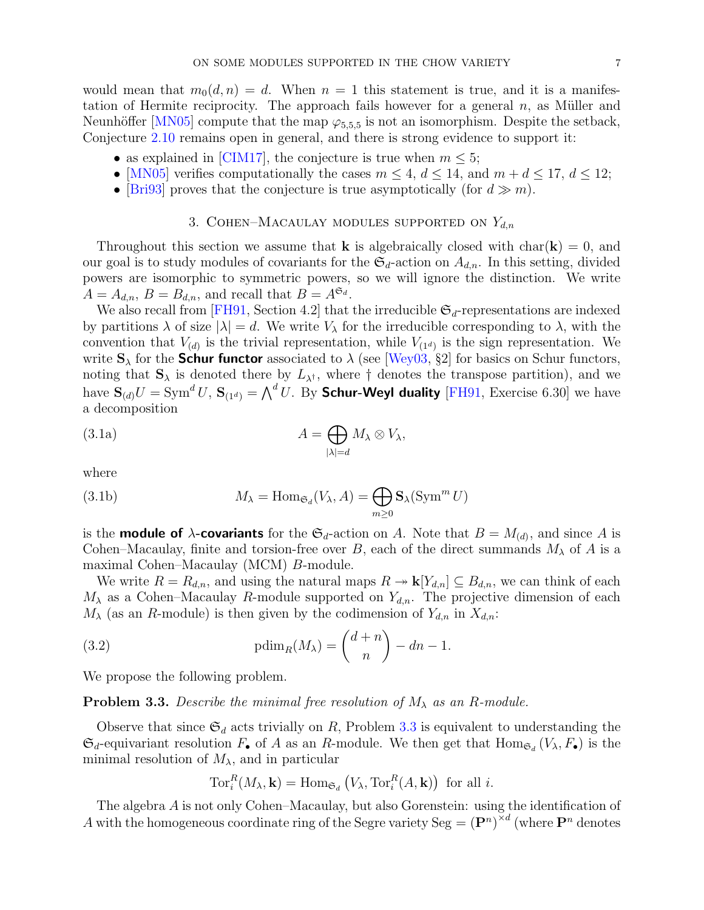would mean that  $m_0(d, n) = d$ . When  $n = 1$  this statement is true, and it is a manifestation of Hermite reciprocity. The approach fails however for a general  $n$ , as Müller and Neunhöffer [\[MN05\]](#page-19-8) compute that the map  $\varphi_{5,5,5}$  is not an isomorphism. Despite the setback, Conjecture [2.10](#page-5-1) remains open in general, and there is strong evidence to support it:

- as explained in [\[CIM17\]](#page-18-8), the conjecture is true when  $m \leq 5$ ;
- [\[MN05\]](#page-19-8) verifies computationally the cases  $m \leq 4$ ,  $d \leq 14$ , and  $m + d \leq 17$ ,  $d \leq 12$ ;
- <span id="page-6-0"></span>• [\[Bri93\]](#page-18-0) proves that the conjecture is true asymptotically (for  $d \gg m$ ).

## 3. COHEN–MACAULAY MODULES SUPPORTED ON  $Y_{d,n}$

Throughout this section we assume that **k** is algebraically closed with char( $\bf{k}$ ) = 0, and our goal is to study modules of covariants for the  $\mathfrak{S}_d$ -action on  $A_{d,n}$ . In this setting, divided powers are isomorphic to symmetric powers, so we will ignore the distinction. We write  $A = A_{d,n}, B = B_{d,n}$ , and recall that  $B = A^{\mathfrak{S}_d}$ .

We also recall from [\[FH91,](#page-18-9) Section 4.2] that the irreducible  $\mathfrak{S}_d$ -representations are indexed by partitions  $\lambda$  of size  $|\lambda| = d$ . We write  $V_{\lambda}$  for the irreducible corresponding to  $\lambda$ , with the convention that  $V_{(d)}$  is the trivial representation, while  $V_{(1^d)}$  is the sign representation. We write  $S_{\lambda}$  for the **Schur functor** associated to  $\lambda$  (see [\[Wey03,](#page-19-9) §2] for basics on Schur functors, noting that  $S_{\lambda}$  is denoted there by  $L_{\lambda^{\dagger}}$ , where  $\dagger$  denotes the transpose partition), and we have  ${\bf S}_{(d)}U=\mathrm{Sym}^d\,U,\,{\bf S}_{(1^d)}={\bigwedge}^d\,U.$  By **Schur-Weyl duality** [\[FH91,](#page-18-9) Exercise 6.30] we have a decomposition

<span id="page-6-2"></span>(3.1a) 
$$
A = \bigoplus_{|\lambda|=d} M_{\lambda} \otimes V_{\lambda},
$$

where

<span id="page-6-4"></span>(3.1b) 
$$
M_{\lambda} = \text{Hom}_{\mathfrak{S}_d}(V_{\lambda}, A) = \bigoplus_{m \geq 0} \mathbf{S}_{\lambda}(\text{Sym}^m U)
$$

is the **module of**  $\lambda$ -covariants for the  $\mathfrak{S}_d$ -action on A. Note that  $B = M_{(d)}$ , and since A is Cohen–Macaulay, finite and torsion-free over B, each of the direct summands  $M_{\lambda}$  of A is a maximal Cohen–Macaulay (MCM) B-module.

We write  $R = R_{d,n}$ , and using the natural maps  $R \to \mathbf{k}[Y_{d,n}] \subseteq B_{d,n}$ , we can think of each  $M_{\lambda}$  as a Cohen–Macaulay R-module supported on  $Y_{d,n}$ . The projective dimension of each  $M_{\lambda}$  (as an R-module) is then given by the codimension of  $Y_{d,n}$  in  $X_{d,n}$ :

(3.2) 
$$
\text{pdim}_R(M_\lambda) = \binom{d+n}{n} - dn - 1.
$$

We propose the following problem.

<span id="page-6-1"></span>**Problem 3.3.** Describe the minimal free resolution of  $M_{\lambda}$  as an R-module.

Observe that since  $\mathfrak{S}_d$  acts trivially on R, Problem [3.3](#page-6-1) is equivalent to understanding the  $\mathfrak{S}_d$ -equivariant resolution  $F_{\bullet}$  of A as an R-module. We then get that  $\text{Hom}_{\mathfrak{S}_d}(V_{\lambda}, F_{\bullet})$  is the minimal resolution of  $M_{\lambda}$ , and in particular

<span id="page-6-3"></span>
$$
\operatorname{Tor}_{i}^{R}(M_{\lambda}, \mathbf{k}) = \operatorname{Hom}_{\mathfrak{S}_{d}}(V_{\lambda}, \operatorname{Tor}_{i}^{R}(A, \mathbf{k})) \text{ for all } i.
$$

The algebra A is not only Cohen–Macaulay, but also Gorenstein: using the identification of A with the homogeneous coordinate ring of the Segre variety Seg =  $(\mathbf{P}^n)^{\times d}$  (where  $\mathbf{P}^n$  denotes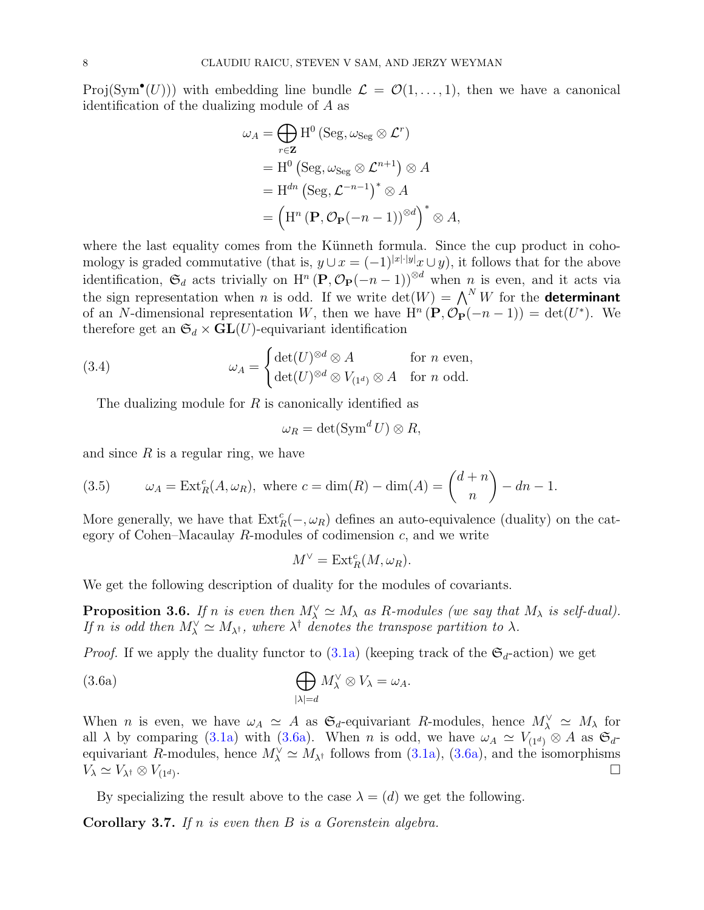Proj(Sym<sup>•</sup>(U))) with embedding line bundle  $\mathcal{L} = \mathcal{O}(1,\ldots,1)$ , then we have a canonical identification of the dualizing module of A as

$$
\omega_A = \bigoplus_{r \in \mathbf{Z}} \mathrm{H}^0 \left( \mathrm{Seg}, \omega_{\mathrm{Seg}} \otimes \mathcal{L}^r \right)
$$
  
= 
$$
\mathrm{H}^0 \left( \mathrm{Seg}, \omega_{\mathrm{Seg}} \otimes \mathcal{L}^{n+1} \right) \otimes A
$$
  
= 
$$
\mathrm{H}^{dn} \left( \mathrm{Seg}, \mathcal{L}^{-n-1} \right)^* \otimes A
$$
  
= 
$$
\left( \mathrm{H}^n \left( \mathbf{P}, \mathcal{O}_{\mathbf{P}}(-n-1) \right)^{\otimes d} \right)^* \otimes A,
$$

where the last equality comes from the Künneth formula. Since the cup product in cohomology is graded commutative (that is,  $y \cup x = (-1)^{|x| \cdot |y|} x \cup y$ ), it follows that for the above identification,  $\mathfrak{S}_d$  acts trivially on  $\mathrm{H}^n(\mathbf{P},\mathcal{O}_{\mathbf{P}}(-n-1))^{\otimes d}$  when n is even, and it acts via the sign representation when n is odd. If we write  $\det(W) = \bigwedge^N W$  for the **determinant** of an N-dimensional representation W, then we have  $H^{n}(\mathbf{P}, \mathcal{O}_{\mathbf{P}}(-n-1)) = \det(U^{*})$ . We therefore get an  $\mathfrak{S}_d \times \mathbf{GL}(U)$ -equivariant identification

(3.4) 
$$
\omega_A = \begin{cases} \det(U)^{\otimes d} \otimes A & \text{for } n \text{ even,} \\ \det(U)^{\otimes d} \otimes V_{(1^d)} \otimes A & \text{for } n \text{ odd.} \end{cases}
$$

The dualizing module for  $R$  is canonically identified as

<span id="page-7-2"></span>
$$
\omega_R = \det(\operatorname{Sym}^d U) \otimes R,
$$

and since  $R$  is a regular ring, we have

<span id="page-7-1"></span>(3.5) 
$$
\omega_A = \text{Ext}^c_R(A, \omega_R), \text{ where } c = \dim(R) - \dim(A) = \binom{d+n}{n} - dn - 1.
$$

More generally, we have that  $\text{Ext}^c_R(-, \omega_R)$  defines an auto-equivalence (duality) on the category of Cohen–Macaulay  $R$ -modules of codimension  $c$ , and we write

<span id="page-7-0"></span>
$$
M^{\vee} = \text{Ext}_{R}^{c}(M, \omega_{R}).
$$

We get the following description of duality for the modules of covariants.

**Proposition 3.6.** If n is even then  $M_{\lambda}^{\vee} \simeq M_{\lambda}$  as R-modules (we say that  $M_{\lambda}$  is self-dual). If n is odd then  $M_{\lambda}^{\vee} \simeq M_{\lambda^{\dagger}}$ , where  $\lambda^{\dagger}$  denotes the transpose partition to  $\lambda$ .

<span id="page-7-4"></span>*Proof.* If we apply the duality functor to  $(3.1a)$  (keeping track of the  $\mathfrak{S}_d$ -action) we get

(3.6a) 
$$
\bigoplus_{|\lambda|=d} M_{\lambda}^{\vee} \otimes V_{\lambda} = \omega_A.
$$

When *n* is even, we have  $\omega_A \simeq A$  as  $\mathfrak{S}_d$ -equivariant R-modules, hence  $M_\lambda^\vee \simeq M_\lambda$  for all  $\lambda$  by comparing [\(3.1a\)](#page-6-2) with [\(3.6a\)](#page-7-0). When n is odd, we have  $\omega_A \simeq V_{(1^d)} \otimes A$  as  $\mathfrak{S}_d$ equivariant R-modules, hence  $M_{\lambda}^{\vee} \simeq M_{\lambda^{\dagger}}$  follows from [\(3.1a\)](#page-6-2), [\(3.6a\)](#page-7-0), and the isomorphisms  $V_{\lambda} \simeq V_{\lambda^{\dagger}} \otimes V_{(1^d)}.$ .

By specializing the result above to the case  $\lambda = (d)$  we get the following.

<span id="page-7-3"></span>**Corollary 3.7.** If n is even then  $B$  is a Gorenstein algebra.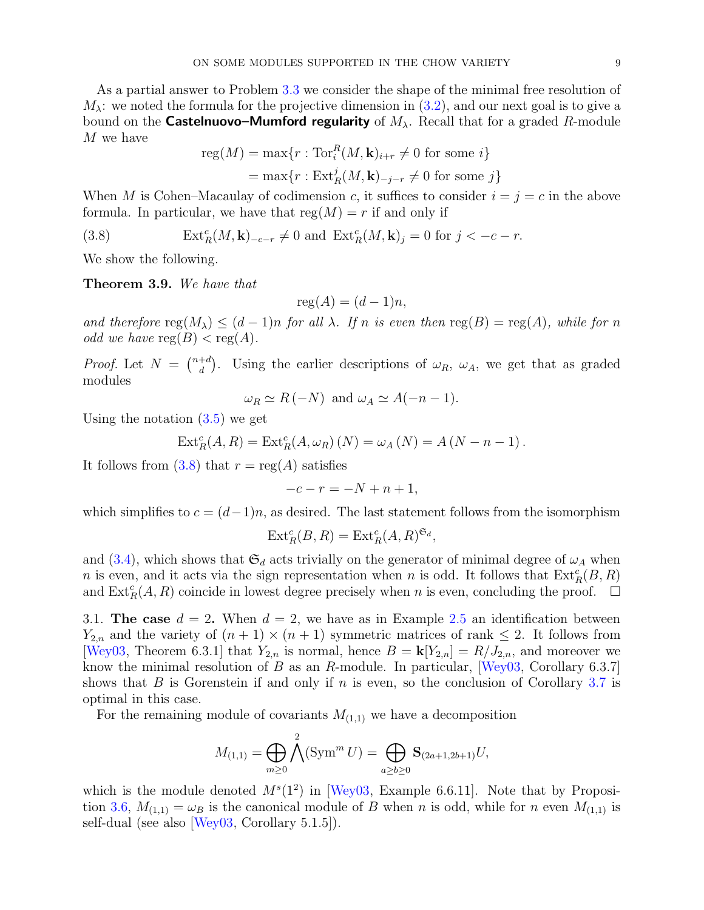As a partial answer to Problem [3.3](#page-6-1) we consider the shape of the minimal free resolution of  $M_{\lambda}$ : we noted the formula for the projective dimension in [\(3.2\)](#page-6-3), and our next goal is to give a bound on the **Castelnuovo–Mumford regularity** of  $M_{\lambda}$ . Recall that for a graded R-module M we have

<span id="page-8-0"></span>reg(M) = max{
$$
r
$$
: Tor<sup>R</sup><sub>i</sub>(M, **k**)<sub>i+r</sub>  $\neq$  0 for some  $i$ }  
= max{ $r$ : Ext<sup>j</sup><sub>R</sub>(M, **k**)<sub>-j-r</sub>  $\neq$  0 for some  $j$ }

When M is Cohen–Macaulay of codimension c, it suffices to consider  $i = j = c$  in the above formula. In particular, we have that  $reg(M) = r$  if and only if

(3.8) 
$$
\operatorname{Ext}^c_R(M, \mathbf{k})_{-c-r} \neq 0 \text{ and } \operatorname{Ext}^c_R(M, \mathbf{k})_j = 0 \text{ for } j < -c-r.
$$

We show the following.

<span id="page-8-1"></span>Theorem 3.9. We have that

$$
reg(A) = (d-1)n,
$$

and therefore  $\text{reg}(M_\lambda) \leq (d-1)n$  for all  $\lambda$ . If n is even then  $\text{reg}(B) = \text{reg}(A)$ , while for n odd we have  $reg(B) < reg(A)$ .

*Proof.* Let  $N = \begin{pmatrix} n+d \\ d \end{pmatrix}$ <sup>+d</sup>). Using the earlier descriptions of  $\omega_R$ ,  $\omega_A$ , we get that as graded modules

$$
\omega_R \simeq R(-N)
$$
 and  $\omega_A \simeq A(-n-1)$ .

Using the notation  $(3.5)$  we get

$$
Ext_R^c(A, R) = Ext_R^c(A, \omega_R)(N) = \omega_A(N) = A(N - n - 1).
$$

It follows from  $(3.8)$  that  $r = \text{reg}(A)$  satisfies

$$
-c - r = -N + n + 1,
$$

which simplifies to  $c = (d-1)n$ , as desired. The last statement follows from the isomorphism

$$
\operatorname{Ext}^c_R(B,R) = \operatorname{Ext}^c_R(A,R)^{\mathfrak{S}_d},
$$

and [\(3.4\)](#page-7-2), which shows that  $\mathfrak{S}_d$  acts trivially on the generator of minimal degree of  $\omega_A$  when n is even, and it acts via the sign representation when n is odd. It follows that  $\text{Ext}_{R}^{c}(B, R)$ and  $\text{Ext}^c_R(A, R)$  coincide in lowest degree precisely when n is even, concluding the proof.  $\Box$ 

<span id="page-8-2"></span>3.1. The case  $d = 2$ . When  $d = 2$ , we have as in Example [2.5](#page-3-3) an identification between  $Y_{2,n}$  and the variety of  $(n+1) \times (n+1)$  symmetric matrices of rank  $\leq 2$ . It follows from [\[Wey03,](#page-19-9) Theorem 6.3.1] that  $Y_{2,n}$  is normal, hence  $B = \mathbf{k}[Y_{2,n}] = R/J_{2,n}$ , and moreover we know the minimal resolution of B as an R-module. In particular,  $|\text{Wey03}, \text{Corollary } 6.3.7|$ shows that B is Gorenstein if and only if n is even, so the conclusion of Corollary [3.7](#page-7-3) is optimal in this case.

For the remaining module of covariants  $M_{(1,1)}$  we have a decomposition

$$
M_{(1,1)} = \bigoplus_{m \geq 0} \bigwedge^2 (\text{Sym}^m U) = \bigoplus_{a \geq b \geq 0} \mathbf{S}_{(2a+1,2b+1)} U,
$$

which is the module denoted  $M<sup>s</sup>(1<sup>2</sup>)$  in [\[Wey03,](#page-19-9) Example 6.6.11]. Note that by Proposi-tion [3.6,](#page-7-4)  $M_{(1,1)} = \omega_B$  is the canonical module of B when n is odd, while for n even  $M_{(1,1)}$  is self-dual (see also [\[Wey03,](#page-19-9) Corollary 5.1.5]).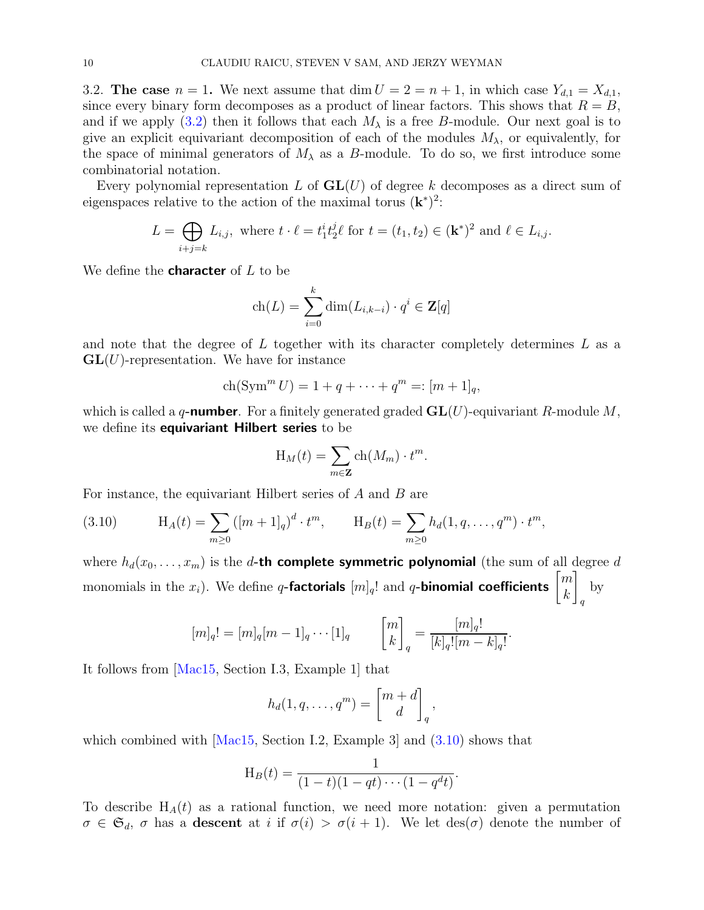3.2. The case  $n = 1$ . We next assume that dim  $U = 2 = n + 1$ , in which case  $Y_{d,1} = X_{d,1}$ , since every binary form decomposes as a product of linear factors. This shows that  $R = B$ , and if we apply [\(3.2\)](#page-6-3) then it follows that each  $M_{\lambda}$  is a free B-module. Our next goal is to give an explicit equivariant decomposition of each of the modules  $M_{\lambda}$ , or equivalently, for the space of minimal generators of  $M<sub>\lambda</sub>$  as a B-module. To do so, we first introduce some combinatorial notation.

Every polynomial representation L of  $GL(U)$  of degree k decomposes as a direct sum of eigenspaces relative to the action of the maximal torus  $(\mathbf{k}^*)^2$ :

$$
L = \bigoplus_{i+j=k} L_{i,j}, \text{ where } t \cdot \ell = t_1^i t_2^j \ell \text{ for } t = (t_1, t_2) \in (\mathbf{k}^*)^2 \text{ and } \ell \in L_{i,j}.
$$

We define the **character** of  $L$  to be

$$
ch(L) = \sum_{i=0}^{k} dim(L_{i,k-i}) \cdot q^{i} \in \mathbf{Z}[q]
$$

and note that the degree of  $L$  together with its character completely determines  $L$  as a  $GL(U)$ -representation. We have for instance

$$
ch(Symm U) = 1 + q + \dots + qm =: [m+1]_q,
$$

which is called a q-number. For a finitely generated graded  $GL(U)$ -equivariant R-module M, we define its **equivariant Hilbert series** to be

$$
H_M(t) = \sum_{m \in \mathbf{Z}} ch(M_m) \cdot t^m.
$$

For instance, the equivariant Hilbert series of A and B are

<span id="page-9-0"></span>(3.10) 
$$
H_A(t) = \sum_{m \ge 0} ([m+1]_q)^d \cdot t^m, \qquad H_B(t) = \sum_{m \ge 0} h_d(1, q, \dots, q^m) \cdot t^m,
$$

where  $h_d(x_0, \ldots, x_m)$  is the d-th complete symmetric polynomial (the sum of all degree d monomials in the  $x_i$ ). We define q-**factorials**  $[m]_q!$  and q-**binomial coefficients**  $\begin{bmatrix} m \\ k \end{bmatrix}$ k 1 q by

$$
[m]_q! = [m]_q[m-1]_q \cdots [1]_q \qquad \begin{bmatrix} m \\ k \end{bmatrix}_q = \frac{[m]_q!}{[k]_q! [m-k]_q!}.
$$

It follows from [\[Mac15,](#page-19-10) Section I.3, Example 1] that

$$
h_d(1,q,\ldots,q^m) = \begin{bmatrix} m+d \\ d \end{bmatrix}_q,
$$

which combined with  $\lceil \text{Mac15} \rceil$ , Section I.2, Example 3 and  $(3.10)$  shows that

$$
H_B(t) = \frac{1}{(1-t)(1-qt)\cdots(1-q^d t)}
$$

.

To describe  $H_A(t)$  as a rational function, we need more notation: given a permutation  $\sigma \in \mathfrak{S}_d$ ,  $\sigma$  has a **descent** at i if  $\sigma(i) > \sigma(i+1)$ . We let  $\text{des}(\sigma)$  denote the number of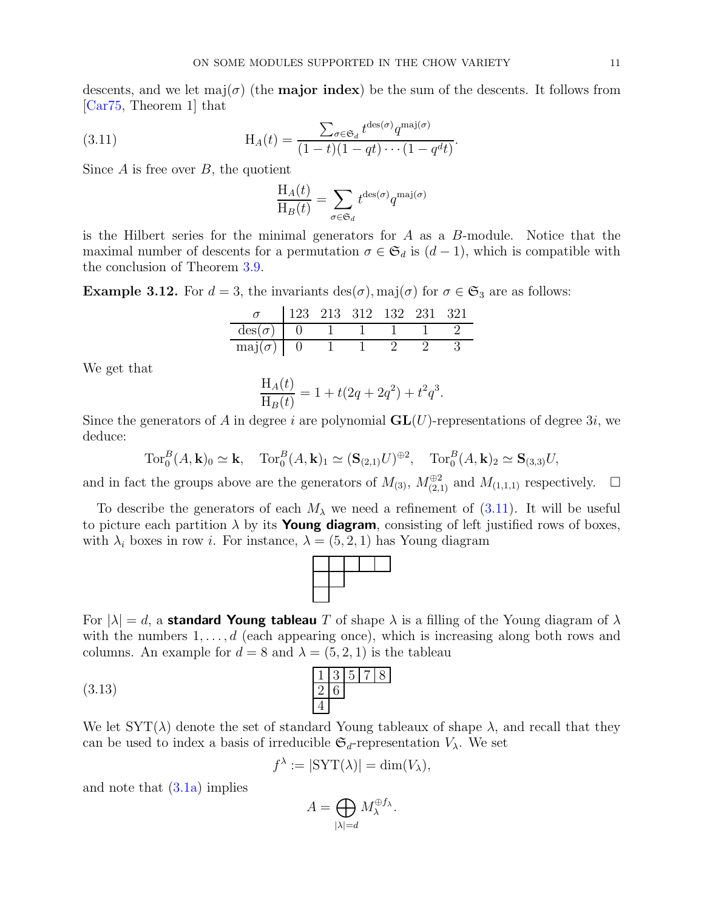descents, and we let major (the **major index**) be the sum of the descents. It follows from [\[Car75,](#page-18-10) Theorem 1] that

(3.11) 
$$
H_A(t) = \frac{\sum_{\sigma \in \mathfrak{S}_d} t^{\text{des}(\sigma)} q^{\text{maj}(\sigma)}}{(1-t)(1-qt)\cdots(1-q^d t)}.
$$

Since  $A$  is free over  $B$ , the quotient

<span id="page-10-0"></span>
$$
\frac{\mathcal{H}_A(t)}{\mathcal{H}_B(t)} = \sum_{\sigma \in \mathfrak{S}_d} t^{\text{des}(\sigma)} q^{\text{maj}(\sigma)}
$$

is the Hilbert series for the minimal generators for  $A$  as a  $B$ -module. Notice that the maximal number of descents for a permutation  $\sigma \in \mathfrak{S}_d$  is  $(d-1)$ , which is compatible with the conclusion of Theorem [3.9.](#page-8-1)

**Example 3.12.** For  $d = 3$ , the invariants des( $\sigma$ ), maj( $\sigma$ ) for  $\sigma \in \mathfrak{S}_3$  are as follows:

|                      | 123 | 213 312 132 231 321 |  |  |
|----------------------|-----|---------------------|--|--|
| $\text{des}(\sigma)$ |     |                     |  |  |
| $\text{maj}(\sigma)$ |     |                     |  |  |

We get that

$$
\frac{H_A(t)}{H_B(t)} = 1 + t(2q + 2q^2) + t^2 q^3.
$$

Since the generators of A in degree i are polynomial  $GL(U)$ -representations of degree 3i, we deduce:

 $\operatorname{Tor}_0^B(A, \mathbf{k})_0 \simeq \mathbf{k}, \quad \operatorname{Tor}_0^B(A, \mathbf{k})_1 \simeq (\mathbf{S}_{(2,1)}U)^{\oplus 2}, \quad \operatorname{Tor}_0^B(A, \mathbf{k})_2 \simeq \mathbf{S}_{(3,3)}U,$ 

and in fact the groups above are the generators of  $M_{(3)}$ ,  $M_{(2,1)}^{\oplus 2}$  and  $M_{(1,1,1)}$  respectively.  $\Box$ 

To describe the generators of each  $M_{\lambda}$  we need a refinement of [\(3.11\)](#page-10-0). It will be useful to picture each partition  $\lambda$  by its **Young diagram**, consisting of left justified rows of boxes, with  $\lambda_i$  boxes in row i. For instance,  $\lambda = (5, 2, 1)$  has Young diagram



For  $|\lambda| = d$ , a **standard Young tableau** T of shape  $\lambda$  is a filling of the Young diagram of  $\lambda$ with the numbers  $1, \ldots, d$  (each appearing once), which is increasing along both rows and columns. An example for  $d = 8$  and  $\lambda = (5, 2, 1)$  is the tableau

$$
(3.13) \quad \frac{1 \ 3 \ 5 \ 7 \ 8}{4}
$$

We let  $SYT(\lambda)$  denote the set of standard Young tableaux of shape  $\lambda$ , and recall that they can be used to index a basis of irreducible  $\mathfrak{S}_d$ -representation  $V_\lambda$ . We set

<span id="page-10-1"></span>
$$
f^{\lambda} := |\mathrm{SYT}(\lambda)| = \dim(V_{\lambda}),
$$

and note that [\(3.1a\)](#page-6-2) implies

$$
A=\bigoplus_{|\lambda|=d}M_\lambda^{\oplus f_\lambda}.
$$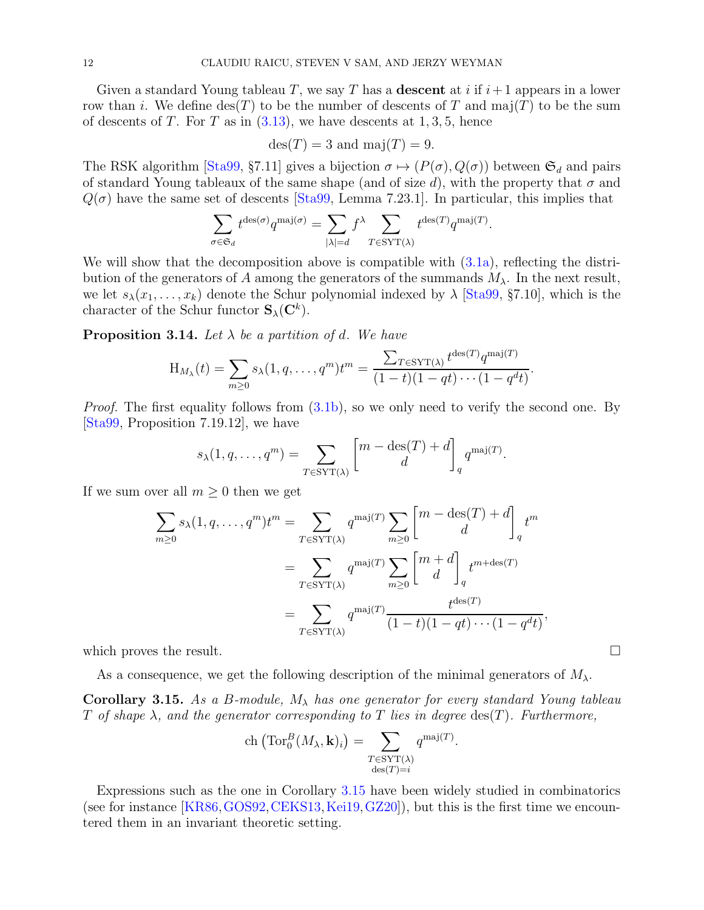Given a standard Young tableau T, we say T has a **descent** at i if  $i+1$  appears in a lower row than i. We define  $\text{des}(T)$  to be the number of descents of T and maj(T) to be the sum of descents of T. For T as in  $(3.13)$ , we have descents at 1, 3, 5, hence

$$
des(T) = 3
$$
 and  $maj(T) = 9$ .

The RSK algorithm [\[Sta99,](#page-19-11) §7.11] gives a bijection  $\sigma \mapsto (P(\sigma), Q(\sigma))$  between  $\mathfrak{S}_d$  and pairs of standard Young tableaux of the same shape (and of size d), with the property that  $\sigma$  and  $Q(\sigma)$  have the same set of descents [\[Sta99,](#page-19-11) Lemma 7.23.1]. In particular, this implies that

$$
\sum_{\sigma \in \mathfrak{S}_d} t^{\mathrm{des}(\sigma)} q^{\mathrm{maj}(\sigma)} = \sum_{|\lambda| = d} f^{\lambda} \sum_{T \in \mathrm{SYT}(\lambda)} t^{\mathrm{des}(T)} q^{\mathrm{maj}(T)}.
$$

We will show that the decomposition above is compatible with  $(3.1a)$ , reflecting the distribution of the generators of A among the generators of the summands  $M_{\lambda}$ . In the next result, we let  $s_{\lambda}(x_1,\ldots,x_k)$  denote the Schur polynomial indexed by  $\lambda$  [\[Sta99,](#page-19-11) §7.10], which is the character of the Schur functor  $\mathbf{S}_{\lambda}(\mathbf{C}^k)$ .

**Proposition 3.14.** Let  $\lambda$  be a partition of d. We have

$$
H_{M_{\lambda}}(t) = \sum_{m \geq 0} s_{\lambda}(1, q, \dots, q^m) t^m = \frac{\sum_{T \in \text{SYT}(\lambda)} t^{\text{des}(T)} q^{\text{maj}(T)}}{(1-t)(1 - qt) \cdots (1 - q^d t)}.
$$

*Proof.* The first equality follows from  $(3.1b)$ , so we only need to verify the second one. By [\[Sta99,](#page-19-11) Proposition 7.19.12], we have

$$
s_{\lambda}(1, q, \dots, q^m) = \sum_{T \in \text{SYT}(\lambda)} \begin{bmatrix} m - \text{des}(T) + d \\ d \end{bmatrix}_q q^{\text{maj}(T)}.
$$

If we sum over all  $m \geq 0$  then we get

$$
\sum_{m\geq 0} s_{\lambda}(1, q, \dots, q^m) t^m = \sum_{T \in \text{SYT}(\lambda)} q^{\text{maj}(T)} \sum_{m\geq 0} \begin{bmatrix} m - \text{des}(T) + d \\ d \end{bmatrix}_q t^m
$$

$$
= \sum_{T \in \text{SYT}(\lambda)} q^{\text{maj}(T)} \sum_{m\geq 0} \begin{bmatrix} m+d \\ d \end{bmatrix}_q t^{m + \text{des}(T)}
$$

$$
= \sum_{T \in \text{SYT}(\lambda)} q^{\text{maj}(T)} \frac{t^{\text{des}(T)}}{(1 - t)(1 - qt) \cdots (1 - q^d t)},
$$

which proves the result.  $\Box$ 

As a consequence, we get the following description of the minimal generators of  $M_{\lambda}$ .

<span id="page-11-0"></span>**Corollary 3.15.** As a B-module,  $M_{\lambda}$  has one generator for every standard Young tableau T of shape  $\lambda$ , and the generator corresponding to T lies in degree  $\text{des}(T)$ . Furthermore,

ch 
$$
(\text{Tor}_0^B(M_\lambda, \mathbf{k})_i)
$$
 = 
$$
\sum_{\substack{T \in \text{SYT}(\lambda) \\ \text{des}(T) = i}} q^{\text{maj}(T)}.
$$

Expressions such as the one in Corollary [3.15](#page-11-0) have been widely studied in combinatorics (see for instance  $[KR86, GOS92, CEKS13, Kei19, GZ20]$  $[KR86, GOS92, CEKS13, Kei19, GZ20]$  $[KR86, GOS92, CEKS13, Kei19, GZ20]$  $[KR86, GOS92, CEKS13, Kei19, GZ20]$  $[KR86, GOS92, CEKS13, Kei19, GZ20]$  $[KR86, GOS92, CEKS13, Kei19, GZ20]$  $[KR86, GOS92, CEKS13, Kei19, GZ20]$  $[KR86, GOS92, CEKS13, Kei19, GZ20]$ ), but this is the first time we encountered them in an invariant theoretic setting.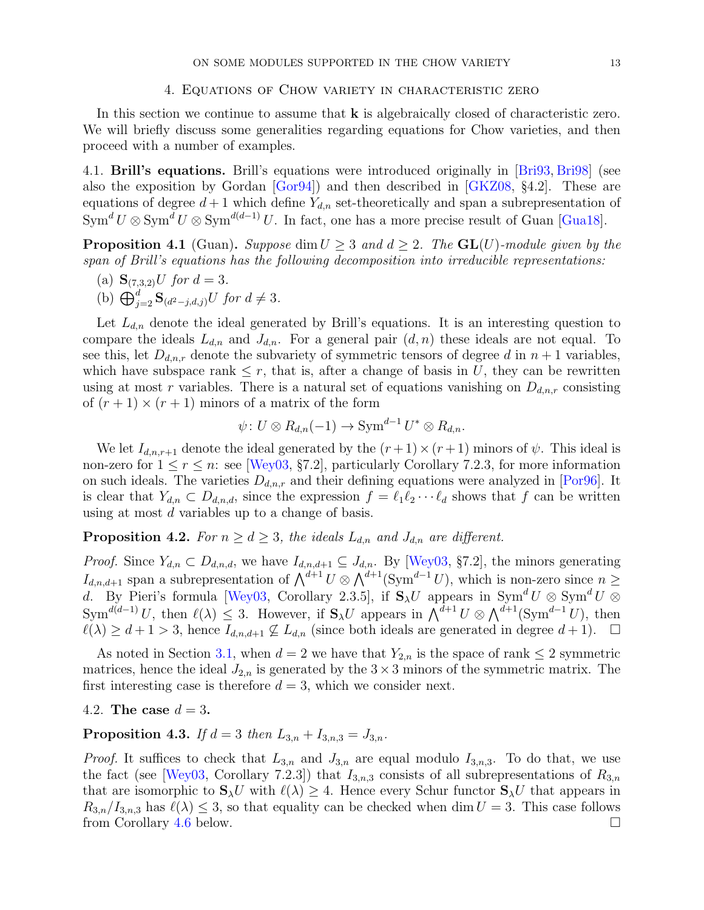### 4. Equations of Chow variety in characteristic zero

<span id="page-12-0"></span>In this section we continue to assume that  $\bf{k}$  is algebraically closed of characteristic zero. We will briefly discuss some generalities regarding equations for Chow varieties, and then proceed with a number of examples.

4.1. Brill's equations. Brill's equations were introduced originally in [\[Bri93,](#page-18-16) [Bri98\]](#page-18-17) (see also the exposition by Gordan [\[Gor94\]](#page-18-18)) and then described in [\[GKZ08,](#page-18-19) §4.2]. These are equations of degree  $d+1$  which define  $Y_{d,n}$  set-theoretically and span a subrepresentation of  $Sym^d U \otimes Sym^d U \otimes Sym^{d(d-1)} U$ . In fact, one has a more precise result of Guan [\[Gua18\]](#page-18-20).

<span id="page-12-2"></span>**Proposition 4.1** (Guan). Suppose dim  $U \geq 3$  and  $d \geq 2$ . The  $GL(U)$ -module given by the span of Brill's equations has the following decomposition into irreducible representations:

- (a)  $\mathbf{S}_{(7,3,2)}U$  for  $d=3$ .
- (b)  $\bigoplus_{j=2}^d \mathbf{S}_{(d^2-j,d,j)}U$  for  $d \neq 3$ .

Let  $L_{d,n}$  denote the ideal generated by Brill's equations. It is an interesting question to compare the ideals  $L_{d,n}$  and  $J_{d,n}$ . For a general pair  $(d, n)$  these ideals are not equal. To see this, let  $D_{d,n,r}$  denote the subvariety of symmetric tensors of degree d in  $n+1$  variables, which have subspace rank  $\leq r$ , that is, after a change of basis in U, they can be rewritten using at most r variables. There is a natural set of equations vanishing on  $D_{d,n,r}$  consisting of  $(r+1) \times (r+1)$  minors of a matrix of the form

$$
\psi\colon U\otimes R_{d,n}(-1)\to \operatorname{Sym}^{d-1}U^*\otimes R_{d,n}.
$$

We let  $I_{d,n,r+1}$  denote the ideal generated by the  $(r+1) \times (r+1)$  minors of  $\psi$ . This ideal is non-zero for  $1 \le r \le n$ : see [\[Wey03,](#page-19-9) §7.2], particularly Corollary 7.2.3, for more information on such ideals. The varieties  $D_{d,n,r}$  and their defining equations were analyzed in [\[Por96\]](#page-19-12). It is clear that  $Y_{d,n} \subset D_{d,n,d}$ , since the expression  $f = \ell_1 \ell_2 \cdots \ell_d$  shows that f can be written using at most d variables up to a change of basis.

<span id="page-12-1"></span>**Proposition 4.2.** For  $n \geq d \geq 3$ , the ideals  $L_{d,n}$  and  $J_{d,n}$  are different.

*Proof.* Since  $Y_{d,n} \subset D_{d,n,d}$ , we have  $I_{d,n,d+1} \subseteq J_{d,n}$ . By [\[Wey03,](#page-19-9) §7.2], the minors generating  $I_{d,n,d+1}$  span a subrepresentation of  $\bigwedge^{d+1} U \otimes \bigwedge^{d+1} (\text{Sym}^{d-1} U)$ , which is non-zero since  $n \geq$ d. By Pieri's formula [\[Wey03,](#page-19-9) Corollary 2.3.5], if  $S_\lambda U$  appears in  $\text{Sym}^d U \otimes \text{Sym}^d U$  $Sym^{d(d-1)} U$ , then  $\ell(\lambda) \leq 3$ . However, if  $S_{\lambda}U$  appears in  $\bigwedge^{d+1} U \otimes \bigwedge^{d+1} (\text{Sym}^{d-1} U)$ , then  $\ell(\lambda) \geq d+1 > 3$ , hence  $I_{d,n,d+1} \nsubseteq L_{d,n}$  (since both ideals are generated in degree  $d+1$ ).  $\Box$ 

As noted in Section [3.1,](#page-8-2) when  $d = 2$  we have that  $Y_{2,n}$  is the space of rank  $\leq 2$  symmetric matrices, hence the ideal  $J_{2,n}$  is generated by the  $3 \times 3$  minors of the symmetric matrix. The first interesting case is therefore  $d = 3$ , which we consider next.

4.2. The case 
$$
d = 3
$$
.

<span id="page-12-3"></span>**Proposition 4.3.** If  $d = 3$  then  $L_{3,n} + I_{3,n,3} = J_{3,n}$ .

*Proof.* It suffices to check that  $L_{3,n}$  and  $J_{3,n}$  are equal modulo  $I_{3,n,3}$ . To do that, we use the fact (see [\[Wey03,](#page-19-9) Corollary 7.2.3]) that  $I_{3,n,3}$  consists of all subrepresentations of  $R_{3,n}$ that are isomorphic to  $S_\lambda U$  with  $\ell(\lambda) \geq 4$ . Hence every Schur functor  $S_\lambda U$  that appears in  $R_{3,n}/I_{3,n,3}$  has  $\ell(\lambda) \leq 3$ , so that equality can be checked when dim  $U = 3$ . This case follows from Corollary 4.6 below.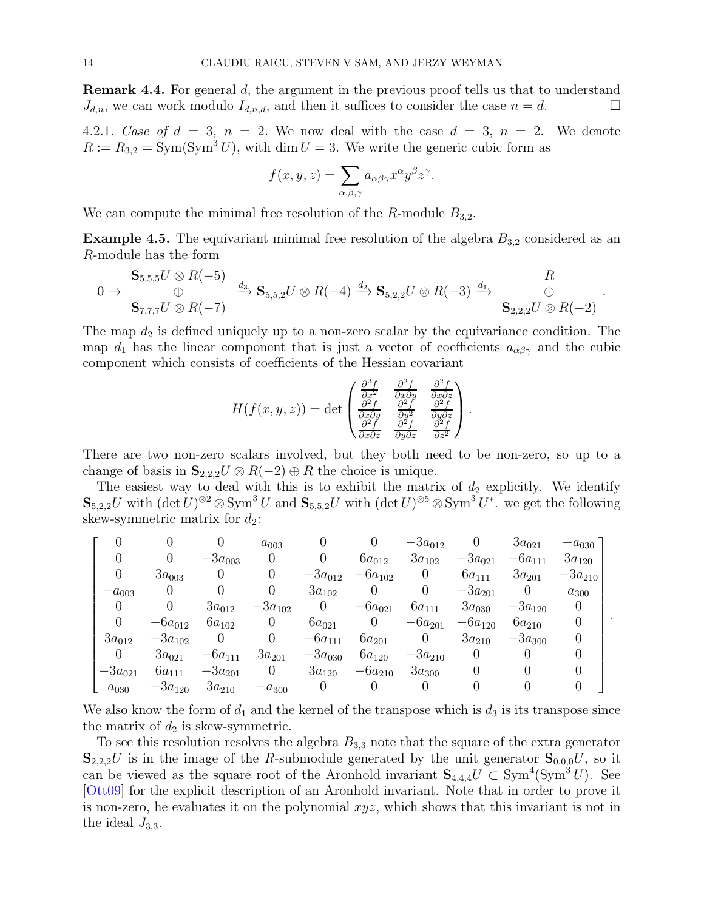Remark 4.4. For general d, the argument in the previous proof tells us that to understand  $J_{d,n}$ , we can work modulo  $I_{d,n,d}$ , and then it suffices to consider the case  $n = d$ .

4.2.1. Case of  $d = 3$ ,  $n = 2$ . We now deal with the case  $d = 3$ ,  $n = 2$ . We denote  $R := R_{3,2} = \text{Sym}(\text{Sym}^3 U)$ , with dim  $U = 3$ . We write the generic cubic form as

$$
f(x, y, z) = \sum_{\alpha, \beta, \gamma} a_{\alpha\beta\gamma} x^{\alpha} y^{\beta} z^{\gamma}.
$$

We can compute the minimal free resolution of the  $R$ -module  $B_{3,2}$ .

<span id="page-13-0"></span>**Example 4.5.** The equivariant minimal free resolution of the algebra  $B_{3,2}$  considered as an R-module has the form

$$
0 \to \begin{array}{c} \mathbf{S}_{5,5,5}U \otimes R(-5) \\ \oplus \\ \mathbf{S}_{7,7,7}U \otimes R(-7) \end{array} \xrightarrow{d_3} \mathbf{S}_{5,5,2}U \otimes R(-4) \xrightarrow{d_2} \mathbf{S}_{5,2,2}U \otimes R(-3) \xrightarrow{d_1} \begin{array}{c} R \\ \oplus \\ \mathbf{S}_{2,2,2}U \otimes R(-2) \end{array}.
$$

The map  $d_2$  is defined uniquely up to a non-zero scalar by the equivariance condition. The map  $d_1$  has the linear component that is just a vector of coefficients  $a_{\alpha\beta\gamma}$  and the cubic component which consists of coefficients of the Hessian covariant

$$
H(f(x, y, z)) = \det \begin{pmatrix} \frac{\partial^2 f}{\partial x^2} & \frac{\partial^2 f}{\partial x \partial y} & \frac{\partial^2 f}{\partial x \partial z} \\ \frac{\partial^2 f}{\partial x \partial y} & \frac{\partial^2 f}{\partial y^2} & \frac{\partial^2 f}{\partial y \partial z} \\ \frac{\partial^2 f}{\partial x \partial z} & \frac{\partial^2 f}{\partial y \partial z} & \frac{\partial^2 f}{\partial z^2} \end{pmatrix}.
$$

There are two non-zero scalars involved, but they both need to be non-zero, so up to a change of basis in  $\mathbf{S}_{2,2,2}U \otimes R(-2) \oplus R$  the choice is unique.

The easiest way to deal with this is to exhibit the matrix of  $d_2$  explicitly. We identify  $\mathbf{S}_{5,2,2}U$  with  $(\det U)^{\otimes 2} \otimes \text{Sym}^3 U$  and  $\mathbf{S}_{5,5,2}U$  with  $(\det U)^{\otimes 5} \otimes \text{Sym}^3 U^*$ . we get the following skew-symmetric matrix for  $d_2$ :

$$
\left[\begin{matrix} 0 & 0 & 0 & a_{003} & 0 & 0 & -3a_{012} & 0 & 3a_{021} & -a_{030} \\ 0 & 0 & -3a_{003} & 0 & 0 & 6a_{012} & 3a_{102} & -3a_{021} & -6a_{111} & 3a_{120} \\ 0 & 3a_{003} & 0 & 0 & -3a_{012} & -6a_{102} & 0 & 6a_{111} & 3a_{201} & -3a_{210} \\ -a_{003} & 0 & 0 & 0 & 3a_{102} & 0 & 0 & -3a_{201} & 0 & a_{300} \\ 0 & 0 & 3a_{012} & -3a_{102} & 0 & -6a_{021} & 6a_{111} & 3a_{030} & -3a_{120} & 0 \\ 0 & -6a_{012} & 6a_{102} & 0 & 6a_{021} & 0 & -6a_{201} & -6a_{120} & 6a_{210} & 0 \\ 3a_{012} & -3a_{102} & 0 & 0 & -6a_{111} & 6a_{201} & 0 & 3a_{210} & -3a_{300} & 0 \\ 0 & 3a_{021} & -6a_{111} & 3a_{201} & -3a_{030} & 6a_{120} & -3a_{210} & 0 & 0 & 0 \\ -3a_{021} & 6a_{111} & -3a_{201} & 0 & 3a_{120} & -6a_{210} & 3a_{300} & 0 & 0 & 0 \\ a_{030} & -3a_{120} & 3a_{210} & -a_{300} & 0 & 0 & 0 & 0 & 0 \end{matrix}\right].
$$

We also know the form of  $d_1$  and the kernel of the transpose which is  $d_3$  is its transpose since the matrix of  $d_2$  is skew-symmetric.

To see this resolution resolves the algebra  $B_{3,3}$  note that the square of the extra generator  $S_{2,2,2}U$  is in the image of the R-submodule generated by the unit generator  $S_{0,0,0}U$ , so it can be viewed as the square root of the Aronhold invariant  $S_{4,4,4}U \subset Sym^4(Sym^3 U)$ . See [\[Ott09\]](#page-19-13) for the explicit description of an Aronhold invariant. Note that in order to prove it is non-zero, he evaluates it on the polynomial  $xyz$ , which shows that this invariant is not in the ideal  $J_{3,3}$ .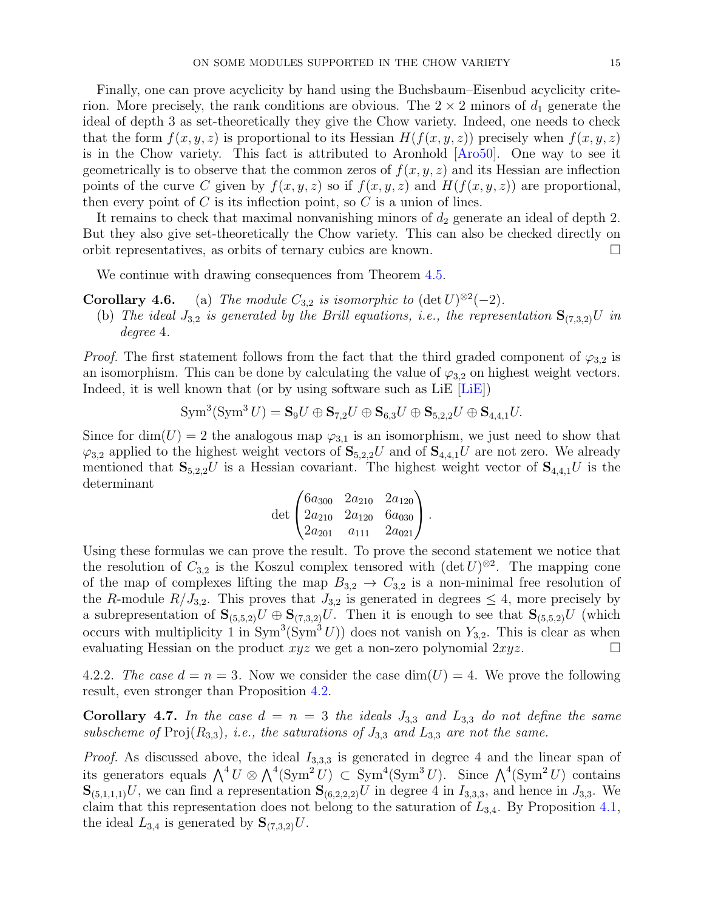Finally, one can prove acyclicity by hand using the Buchsbaum–Eisenbud acyclicity criterion. More precisely, the rank conditions are obvious. The  $2 \times 2$  minors of  $d_1$  generate the ideal of depth 3 as set-theoretically they give the Chow variety. Indeed, one needs to check that the form  $f(x, y, z)$  is proportional to its Hessian  $H(f(x, y, z))$  precisely when  $f(x, y, z)$ is in the Chow variety. This fact is attributed to Aronhold [\[Aro50\]](#page-18-21). One way to see it geometrically is to observe that the common zeros of  $f(x, y, z)$  and its Hessian are inflection points of the curve C given by  $f(x, y, z)$  so if  $f(x, y, z)$  and  $H(f(x, y, z))$  are proportional, then every point of  $C$  is its inflection point, so  $C$  is a union of lines.

It remains to check that maximal nonvanishing minors of  $d_2$  generate an ideal of depth 2. But they also give set-theoretically the Chow variety. This can also be checked directly on orbit representatives, as orbits of ternary cubics are known.

We continue with drawing consequences from Theorem [4.5.](#page-13-0)

- **Corollary 4.6.** (a) The module  $C_{3,2}$  is isomorphic to  $(\det U)^{\otimes 2}(-2)$ .
- (b) The ideal  $J_{3,2}$  is generated by the Brill equations, i.e., the representation  $S_{(7,3,2)}U$  in degree 4.

*Proof.* The first statement follows from the fact that the third graded component of  $\varphi_{3,2}$  is an isomorphism. This can be done by calculating the value of  $\varphi_{3,2}$  on highest weight vectors. Indeed, it is well known that (or by using software such as LiE [\[LiE\]](#page-19-14))

$$
\mathrm{Sym}^3(\mathrm{Sym}^3 U) = \mathbf{S}_9 U \oplus \mathbf{S}_{7,2} U \oplus \mathbf{S}_{6,3} U \oplus \mathbf{S}_{5,2,2} U \oplus \mathbf{S}_{4,4,1} U.
$$

Since for dim(U) = 2 the analogous map  $\varphi_{3,1}$  is an isomorphism, we just need to show that  $\varphi_{3,2}$  applied to the highest weight vectors of  $S_{5,2,2}U$  and of  $S_{4,4,1}U$  are not zero. We already mentioned that  $S_{5,2,2}U$  is a Hessian covariant. The highest weight vector of  $S_{4,4,1}U$  is the determinant

$$
\det \begin{pmatrix} 6a_{300} & 2a_{210} & 2a_{120} \\ 2a_{210} & 2a_{120} & 6a_{030} \\ 2a_{201} & a_{111} & 2a_{021} \end{pmatrix}.
$$

Using these formulas we can prove the result. To prove the second statement we notice that the resolution of  $C_{3,2}$  is the Koszul complex tensored with  $(\det U)^{\otimes 2}$ . The mapping cone of the map of complexes lifting the map  $B_{3,2} \rightarrow C_{3,2}$  is a non-minimal free resolution of the R-module  $R/J_{3,2}$ . This proves that  $J_{3,2}$  is generated in degrees  $\leq 4$ , more precisely by a subrepresentation of  $\mathbf{S}_{(5,5,2)}U \oplus \mathbf{S}_{(7,3,2)}U$ . Then it is enough to see that  $\mathbf{S}_{(5,5,2)}U$  (which occurs with multiplicity 1 in  $Sym^3(Sym^3 U)$  does not vanish on  $Y_{3,2}$ . This is clear as when evaluating Hessian on the product  $xyz$  we get a non-zero polynomial  $2xyz$ .

4.2.2. The case  $d = n = 3$ . Now we consider the case  $\dim(U) = 4$ . We prove the following result, even stronger than Proposition [4.2.](#page-12-1)

**Corollary 4.7.** In the case  $d = n = 3$  the ideals  $J_{3,3}$  and  $L_{3,3}$  do not define the same subscheme of  $\text{Proj}(R_{3,3})$ , i.e., the saturations of  $J_{3,3}$  and  $L_{3,3}$  are not the same.

*Proof.* As discussed above, the ideal  $I_{3,3,3}$  is generated in degree 4 and the linear span of its generators equals  $\bigwedge^4 U \otimes \bigwedge^4 (\text{Sym}^2 U) \subset \text{Sym}^4 (\text{Sym}^3 U)$ . Since  $\bigwedge^4 (\text{Sym}^2 U)$  contains  $\mathbf{S}_{(5,1,1,1)}U$ , we can find a representation  $\mathbf{S}_{(6,2,2,2)}U$  in degree 4 in  $I_{3,3,3}$ , and hence in  $J_{3,3}$ . We claim that this representation does not belong to the saturation of  $L_{3,4}$ . By Proposition [4.1,](#page-12-2) the ideal  $L_{3,4}$  is generated by  $\mathbf{S}_{(7,3,2)}U$ .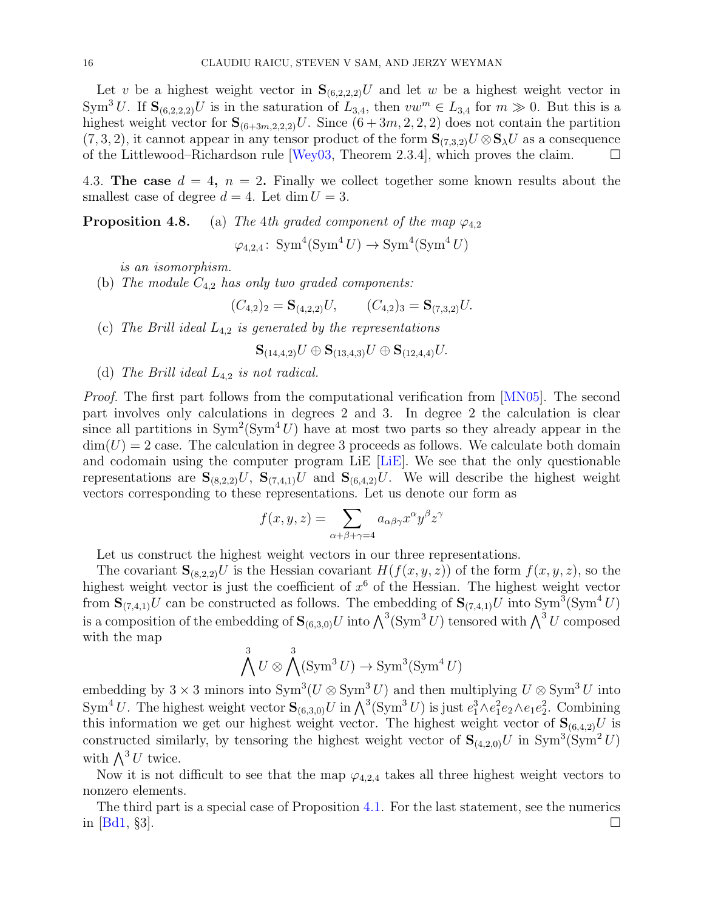Let v be a highest weight vector in  $\mathbf{S}_{(6,2,2,2)}U$  and let w be a highest weight vector in Sym<sup>3</sup>U. If  $\mathbf{S}_{(6,2,2,2)}U$  is in the saturation of  $L_{3,4}$ , then  $vw^m \in L_{3,4}$  for  $m \gg 0$ . But this is a highest weight vector for  $\mathbf{S}_{(6+3m,2,2,2)}U$ . Since  $(6+3m,2,2,2)$  does not contain the partition  $(7,3,2)$ , it cannot appear in any tensor product of the form  $\mathbf{S}_{(7,3,2)}U\otimes \mathbf{S}_{\lambda}U$  as a consequence of the Littlewood–Richardson rule [\[Wey03,](#page-19-9) Theorem 2.3.4], which proves the claim.  $\square$ 

4.3. The case  $d = 4$ ,  $n = 2$ . Finally we collect together some known results about the smallest case of degree  $d = 4$ . Let dim  $U = 3$ .

**Proposition 4.8.** (a) The 4th graded component of the map  $\varphi_{4,2}$ 

 $\varphi_{4,2,4}$ : Sym<sup>4</sup>(Sym<sup>4</sup>U)  $\rightarrow$  Sym<sup>4</sup>(Sym<sup>4</sup>U)

is an isomorphism.

(b) The module  $C_{4,2}$  has only two graded components:

$$
(C_{4,2})_2 = \mathbf{S}_{(4,2,2)}U, \qquad (C_{4,2})_3 = \mathbf{S}_{(7,3,2)}U.
$$

(c) The Brill ideal  $L_{4,2}$  is generated by the representations

 ${\bf S}_{(14,4,2)}U \oplus {\bf S}_{(13,4,3)}U \oplus {\bf S}_{(12,4,4)}U.$ 

(d) The Brill ideal  $L_{4,2}$  is not radical.

Proof. The first part follows from the computational verification from [\[MN05\]](#page-19-8). The second part involves only calculations in degrees 2 and 3. In degree 2 the calculation is clear since all partitions in  $Sym^2(Sym^4 U)$  have at most two parts so they already appear in the  $\dim(U) = 2$  case. The calculation in degree 3 proceeds as follows. We calculate both domain and codomain using the computer program LiE [\[LiE\]](#page-19-14). We see that the only questionable representations are  $S_{(8,2,2)}U$ ,  $S_{(7,4,1)}U$  and  $S_{(6,4,2)}U$ . We will describe the highest weight vectors corresponding to these representations. Let us denote our form as

$$
f(x, y, z) = \sum_{\alpha + \beta + \gamma = 4} a_{\alpha\beta\gamma} x^{\alpha} y^{\beta} z^{\gamma}
$$

Let us construct the highest weight vectors in our three representations.

The covariant  $\mathbf{S}_{(8,2,2)}U$  is the Hessian covariant  $H(f(x,y,z))$  of the form  $f(x,y,z)$ , so the highest weight vector is just the coefficient of  $x^6$  of the Hessian. The highest weight vector from  $\mathbf{S}_{(7,4,1)}U$  can be constructed as follows. The embedding of  $\mathbf{S}_{(7,4,1)}U$  into  $\text{Sym}^3(\text{Sym}^4 U)$ is a composition of the embedding of  $\mathbf{S}_{(6,3,0)}U$  into  $\bigwedge^3(\mathrm{Sym}^3 U)$  tensored with  $\bigwedge^3 U$  composed with the map

$$
\bigwedge^3 U \otimes \bigwedge^3 (\text{Sym}^3 U) \to \text{Sym}^3(\text{Sym}^4 U)
$$

embedding by 3 × 3 minors into  $Sym^3(U \otimes Sym^3 U)$  and then multiplying  $U \otimes Sym^3 U$  into Sym<sup>4</sup>U. The highest weight vector  $\mathbf{S}_{(6,3,0)}U$  in  $\bigwedge^3(\text{Sym}^3 U)$  is just  $e_1^3 \wedge e_1^2 e_2 \wedge e_1 e_2^2$ . Combining this information we get our highest weight vector. The highest weight vector of  $\mathbf{S}_{(6,4,2)}U$  is constructed similarly, by tensoring the highest weight vector of  $S_{(4,2,0)}U$  in  $\text{Sym}^3(\text{Sym}^2 U)$ with  $\bigwedge^3 U$  twice.

Now it is not difficult to see that the map  $\varphi_{4,2,4}$  takes all three highest weight vectors to nonzero elements.

The third part is a special case of Proposition [4.1.](#page-12-2) For the last statement, see the numerics in  $[\text{Bd1}, \, \S3]$ .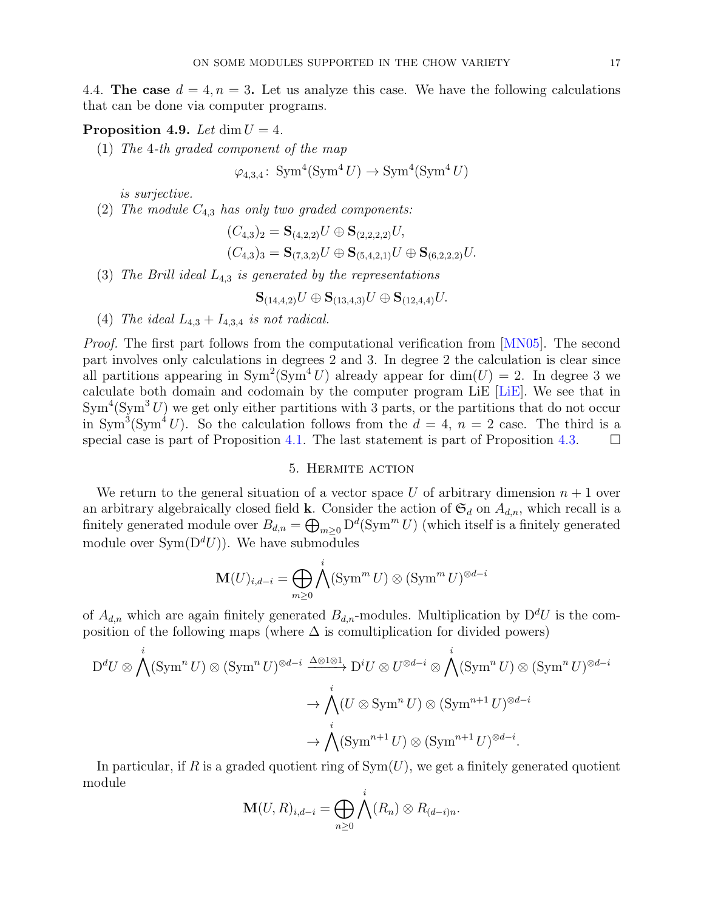4.4. The case  $d = 4, n = 3$ . Let us analyze this case. We have the following calculations that can be done via computer programs.

### **Proposition 4.9.** Let  $\dim U = 4$ .

(1) The 4-th graded component of the map

 $\varphi_{4,3,4}$ : Sym<sup>4</sup>(Sym<sup>4</sup>U)  $\rightarrow$  Sym<sup>4</sup>(Sym<sup>4</sup>U)

is surjective.

(2) The module  $C_{4,3}$  has only two graded components:

$$
(C_{4,3})_2 = \mathbf{S}_{(4,2,2)}U \oplus \mathbf{S}_{(2,2,2,2)}U,
$$
  

$$
(C_{4,3})_3 = \mathbf{S}_{(7,3,2)}U \oplus \mathbf{S}_{(5,4,2,1)}U \oplus \mathbf{S}_{(6,2,2,2)}U.
$$

(3) The Brill ideal  $L_{4,3}$  is generated by the representations

$$
\mathbf{S}_{(14,4,2)}U \oplus \mathbf{S}_{(13,4,3)}U \oplus \mathbf{S}_{(12,4,4)}U.
$$

(4) The ideal  $L_{4,3} + I_{4,3,4}$  is not radical.

Proof. The first part follows from the computational verification from [\[MN05\]](#page-19-8). The second part involves only calculations in degrees 2 and 3. In degree 2 the calculation is clear since all partitions appearing in  $Sym^2(Sym^4 U)$  already appear for  $dim(U) = 2$ . In degree 3 we calculate both domain and codomain by the computer program LiE [\[LiE\]](#page-19-14). We see that in  $\text{Sym}^4(\text{Sym}^3 U)$  we get only either partitions with 3 parts, or the partitions that do not occur in Sym<sup>3</sup>(Sym<sup>4</sup>U). So the calculation follows from the  $d = 4$ ,  $n = 2$  case. The third is a special case is part of Proposition [4.1.](#page-12-2) The last statement is part of Proposition [4.3.](#page-12-3)  $\Box$ 

### 5. Hermite action

<span id="page-16-0"></span>We return to the general situation of a vector space U of arbitrary dimension  $n + 1$  over an arbitrary algebraically closed field **k**. Consider the action of  $\mathfrak{S}_d$  on  $A_{d,n}$ , which recall is a finitely generated module over  $B_{d,n} = \bigoplus_{m \geq 0} D^d(\text{Sym}^m U)$  (which itself is a finitely generated module over  $Sym(D^d U)$ . We have submodules

$$
\mathbf{M}(U)_{i,d-i} = \bigoplus_{m \geq 0} \bigwedge^i (\text{Sym}^m U) \otimes (\text{Sym}^m U)^{\otimes d-i}
$$

of  $A_{d,n}$  which are again finitely generated  $B_{d,n}$ -modules. Multiplication by  $D^dU$  is the composition of the following maps (where  $\Delta$  is comultiplication for divided powers)

$$
D^{d}U \otimes \bigwedge^{i} (\operatorname{Sym}^{n} U) \otimes (\operatorname{Sym}^{n} U)^{\otimes d-i} \xrightarrow{\Delta \otimes 1 \otimes 1} D^{i}U \otimes U^{\otimes d-i} \otimes \bigwedge^{i} (\operatorname{Sym}^{n} U) \otimes (\operatorname{Sym}^{n} U)^{\otimes d-i} \to \bigwedge^{i} (U \otimes \operatorname{Sym}^{n} U) \otimes (\operatorname{Sym}^{n+1} U)^{\otimes d-i} \to \bigwedge^{i} (\operatorname{Sym}^{n+1} U) \otimes (\operatorname{Sym}^{n+1} U)^{\otimes d-i}.
$$

In particular, if R is a graded quotient ring of  $Sym(U)$ , we get a finitely generated quotient module

$$
\mathbf{M}(U,R)_{i,d-i} = \bigoplus_{n \geq 0} \bigwedge^i (R_n) \otimes R_{(d-i)n}.
$$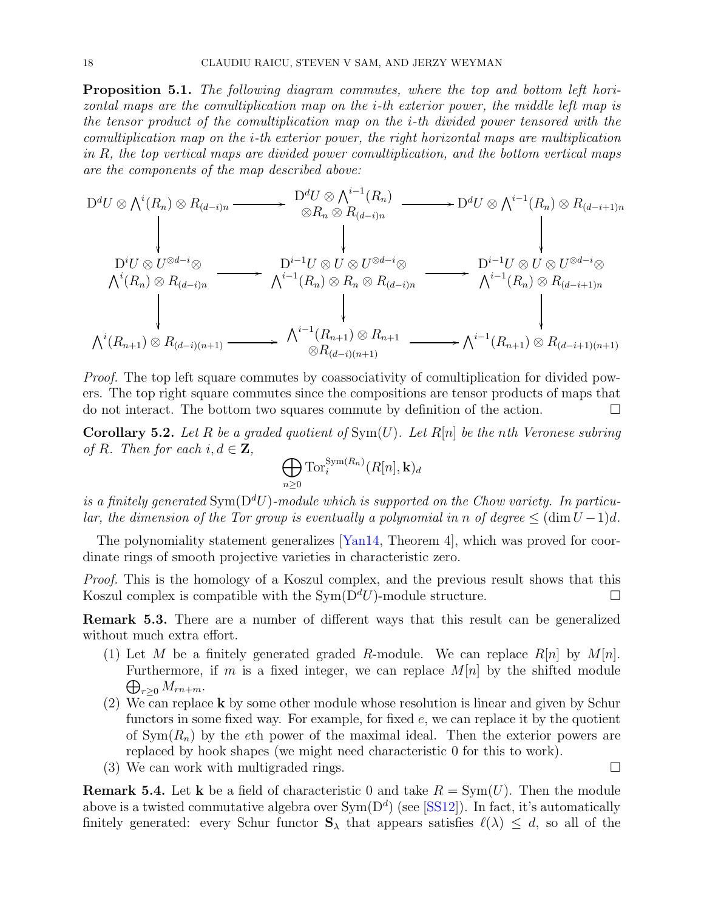Proposition 5.1. The following diagram commutes, where the top and bottom left horizontal maps are the comultiplication map on the i-th exterior power, the middle left map is the tensor product of the comultiplication map on the i-th divided power tensored with the comultiplication map on the i-th exterior power, the right horizontal maps are multiplication in R, the top vertical maps are divided power comultiplication, and the bottom vertical maps are the components of the map described above:

$$
D^{d}U \otimes \bigwedge^{i}(R_{n}) \otimes R_{(d-i)n} \longrightarrow D^{d}U \otimes \bigwedge^{i-1}(R_{n}) \longrightarrow D^{d}U \otimes \bigwedge^{i-1}(R_{n}) \otimes R_{(d-i+1)n}
$$
\n
$$
\downarrow \qquad \qquad \downarrow \qquad \qquad \downarrow
$$
\n
$$
D^{i}U \otimes U^{\otimes d-i} \otimes \bigwedge^{j} (R_{n}) \otimes R_{(d-i)n} \longrightarrow D^{i-1}U \otimes U \otimes U^{\otimes d-i} \otimes \bigwedge^{j-1}(R_{n}) \otimes R_{(d-i)n}
$$
\n
$$
\downarrow \qquad \qquad \downarrow \qquad \qquad \downarrow
$$
\n
$$
\bigwedge^{i}(R_{n}) \otimes R_{(d-i)n} \longrightarrow \bigwedge^{i-1}(R_{n}) \otimes R_{n} \otimes R_{(d-i)n} \longrightarrow \bigwedge^{i-1}(R_{n}) \otimes R_{(d-i+1)n}
$$
\n
$$
\downarrow \qquad \qquad \downarrow
$$
\n
$$
\bigwedge^{i}(R_{n+1}) \otimes R_{(d-i)(n+1)} \longrightarrow \bigwedge^{i-1}(R_{n+1}) \otimes R_{n+1} \longrightarrow \bigwedge^{i-1}(R_{n+1}) \otimes R_{(d-i+1)(n+1)}
$$

Proof. The top left square commutes by coassociativity of comultiplication for divided powers. The top right square commutes since the compositions are tensor products of maps that do not interact. The bottom two squares commute by definition of the action.

**Corollary 5.2.** Let R be a graded quotient of  $Sym(U)$ . Let R[n] be the nth Veronese subring of R. Then for each  $i, d \in \mathbf{Z}$ ,

$$
\bigoplus_{n\geq 0}\operatorname{Tor}_i^{\operatorname{Sym}(R_n)}(R[n],\mathbf{k})_d
$$

is a finitely generated Sym( $D^dU$ )-module which is supported on the Chow variety. In particular, the dimension of the Tor group is eventually a polynomial in n of degree  $\leq (\dim U - 1)d$ .

The polynomiality statement generalizes [\[Yan14,](#page-19-15) Theorem 4], which was proved for coordinate rings of smooth projective varieties in characteristic zero.

Proof. This is the homology of a Koszul complex, and the previous result shows that this Koszul complex is compatible with the  $\text{Sym}(\mathcal{D}^d U)$ -module structure.

Remark 5.3. There are a number of different ways that this result can be generalized without much extra effort.

- (1) Let M be a finitely generated graded R-module. We can replace  $R[n]$  by  $M[n]$ .  $\bigoplus_{r\geq 0} M_{rn+m}$ . Furthermore, if m is a fixed integer, we can replace  $M[n]$  by the shifted module
- (2) We can replace  $k$  by some other module whose resolution is linear and given by Schur functors in some fixed way. For example, for fixed  $e$ , we can replace it by the quotient of  $Sym(R_n)$  by the eth power of the maximal ideal. Then the exterior powers are replaced by hook shapes (we might need characteristic 0 for this to work).
- (3) We can work with multigraded rings.  $\square$

**Remark 5.4.** Let **k** be a field of characteristic 0 and take  $R = \text{Sym}(U)$ . Then the module above is a twisted commutative algebra over  $Sym(D^d)$  (see [\[SS12\]](#page-19-16)). In fact, it's automatically finitely generated: every Schur functor  $S_\lambda$  that appears satisfies  $\ell(\lambda) \leq d$ , so all of the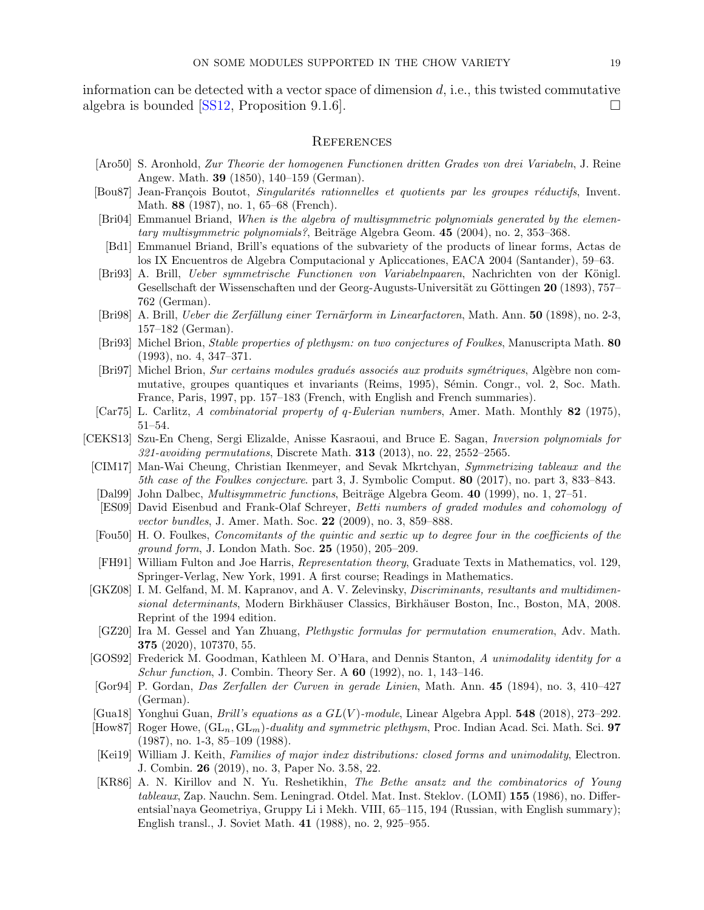information can be detected with a vector space of dimension  $d$ , i.e., this twisted commutative algebra is bounded [\[SS12,](#page-19-16) Proposition 9.1.6].

#### References

- <span id="page-18-21"></span>[Aro50] S. Aronhold, Zur Theorie der homogenen Functionen dritten Grades von drei Variabeln, J. Reine Angew. Math. 39 (1850), 140–159 (German).
- <span id="page-18-6"></span>[Bou87] Jean-François Boutot, Singularités rationnelles et quotients par les groupes réductifs, Invent. Math. 88 (1987), no. 1, 65–68 (French).
- <span id="page-18-3"></span>[Bri04] Emmanuel Briand, When is the algebra of multisymmetric polynomials generated by the elementary multisymmetric polynomials?, Beiträge Algebra Geom.  $45$  (2004), no. 2, 353–368.
- <span id="page-18-22"></span>[Bd1] Emmanuel Briand, Brill's equations of the subvariety of the products of linear forms, Actas de los IX Encuentros de Algebra Computacional y Apliccationes, EACA 2004 (Santander), 59–63.
- <span id="page-18-16"></span>[Bri93] A. Brill, Ueber symmetrische Functionen von Variabelnpaaren, Nachrichten von der Königl. Gesellschaft der Wissenschaften und der Georg-Augusts-Universität zu Göttingen 20 (1893), 757– 762 (German).
- <span id="page-18-17"></span>[Bri98] A. Brill, *Ueber die Zerfällung einer Ternärform in Linearfactoren*, Math. Ann. 50 (1898), no. 2-3, 157–182 (German).
- <span id="page-18-0"></span>[Bri93] Michel Brion, Stable properties of plethysm: on two conjectures of Foulkes, Manuscripta Math. 80 (1993), no. 4, 347–371.
- <span id="page-18-5"></span>[Bri97] Michel Brion, Sur certains modules gradués associés aux produits symétriques, Algèbre non commutative, groupes quantiques et invariants (Reims, 1995), Sémin. Congr., vol. 2, Soc. Math. France, Paris, 1997, pp. 157–183 (French, with English and French summaries).
- <span id="page-18-10"></span>[Car75] L. Carlitz, A combinatorial property of q-Eulerian numbers, Amer. Math. Monthly 82 (1975), 51–54.
- <span id="page-18-13"></span><span id="page-18-8"></span><span id="page-18-2"></span><span id="page-18-1"></span>[CEKS13] Szu-En Cheng, Sergi Elizalde, Anisse Kasraoui, and Bruce E. Sagan, Inversion polynomials for 321-avoiding permutations, Discrete Math. 313 (2013), no. 22, 2552–2565.
	- [CIM17] Man-Wai Cheung, Christian Ikenmeyer, and Sevak Mkrtchyan, Symmetrizing tableaux and the 5th case of the Foulkes conjecture. part 3, J. Symbolic Comput. 80 (2017), no. part 3, 833–843.
	- [Dal99] John Dalbec, *Multisymmetric functions*, Beiträge Algebra Geom. 40 (1999), no. 1, 27–51.
	- [ES09] David Eisenbud and Frank-Olaf Schreyer, Betti numbers of graded modules and cohomology of vector bundles, J. Amer. Math. Soc. 22 (2009), no. 3, 859–888.
	- [Fou50] H. O. Foulkes, Concomitants of the quintic and sextic up to degree four in the coefficients of the ground form, J. London Math. Soc. 25 (1950), 205–209.
	- [FH91] William Fulton and Joe Harris, Representation theory, Graduate Texts in Mathematics, vol. 129, Springer-Verlag, New York, 1991. A first course; Readings in Mathematics.
- <span id="page-18-19"></span><span id="page-18-9"></span><span id="page-18-7"></span>[GKZ08] I. M. Gelfand, M. M. Kapranov, and A. V. Zelevinsky, Discriminants, resultants and multidimensional determinants, Modern Birkhäuser Classics, Birkhäuser Boston, Inc., Boston, MA, 2008. Reprint of the 1994 edition.
	- [GZ20] Ira M. Gessel and Yan Zhuang, Plethystic formulas for permutation enumeration, Adv. Math. 375 (2020), 107370, 55.
- <span id="page-18-15"></span><span id="page-18-12"></span>[GOS92] Frederick M. Goodman, Kathleen M. O'Hara, and Dennis Stanton, A unimodality identity for a *Schur function*, J. Combin. Theory Ser. A  $60$  (1992), no. 1, 143–146.
- <span id="page-18-18"></span>[Gor94] P. Gordan, Das Zerfallen der Curven in gerade Linien, Math. Ann. 45 (1894), no. 3, 410–427 (German).
- <span id="page-18-20"></span>[Gua18] Yonghui Guan, *Brill's equations as a*  $GL(V)$ *-module*, Linear Algebra Appl. **548** (2018), 273–292.
- <span id="page-18-4"></span>[How87] Roger Howe,  $(GL_n, GL_m)$ -duality and symmetric plethysm, Proc. Indian Acad. Sci. Math. Sci. 97 (1987), no. 1-3, 85–109 (1988).
- <span id="page-18-14"></span>[Kei19] William J. Keith, Families of major index distributions: closed forms and unimodality, Electron. J. Combin. 26 (2019), no. 3, Paper No. 3.58, 22.
- <span id="page-18-11"></span>[KR86] A. N. Kirillov and N. Yu. Reshetikhin, The Bethe ansatz and the combinatorics of Young tableaux, Zap. Nauchn. Sem. Leningrad. Otdel. Mat. Inst. Steklov. (LOMI) 155 (1986), no. Differentsial'naya Geometriya, Gruppy Li i Mekh. VIII, 65–115, 194 (Russian, with English summary); English transl., J. Soviet Math. 41 (1988), no. 2, 925–955.